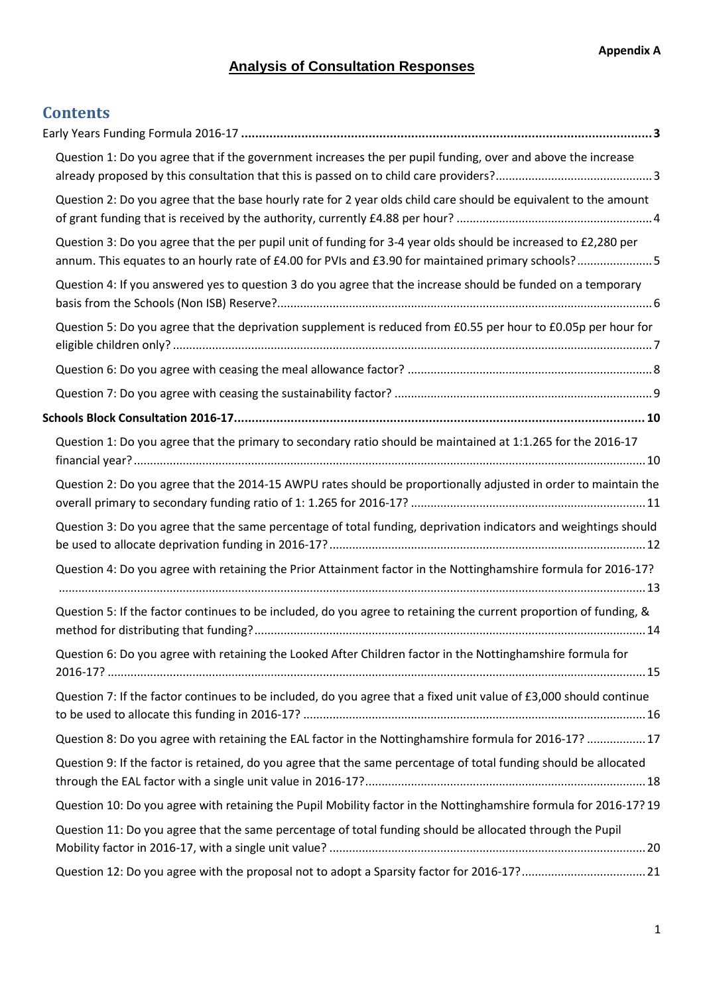# **Analysis of Consultation Responses**

# **Contents**

| Question 1: Do you agree that if the government increases the per pupil funding, over and above the increase                                                                                                          |  |
|-----------------------------------------------------------------------------------------------------------------------------------------------------------------------------------------------------------------------|--|
| Question 2: Do you agree that the base hourly rate for 2 year olds child care should be equivalent to the amount                                                                                                      |  |
| Question 3: Do you agree that the per pupil unit of funding for 3-4 year olds should be increased to £2,280 per<br>annum. This equates to an hourly rate of £4.00 for PVIs and £3.90 for maintained primary schools?5 |  |
| Question 4: If you answered yes to question 3 do you agree that the increase should be funded on a temporary                                                                                                          |  |
| Question 5: Do you agree that the deprivation supplement is reduced from £0.55 per hour to £0.05p per hour for                                                                                                        |  |
|                                                                                                                                                                                                                       |  |
|                                                                                                                                                                                                                       |  |
|                                                                                                                                                                                                                       |  |
| Question 1: Do you agree that the primary to secondary ratio should be maintained at 1:1.265 for the 2016-17                                                                                                          |  |
| Question 2: Do you agree that the 2014-15 AWPU rates should be proportionally adjusted in order to maintain the                                                                                                       |  |
| Question 3: Do you agree that the same percentage of total funding, deprivation indicators and weightings should                                                                                                      |  |
| Question 4: Do you agree with retaining the Prior Attainment factor in the Nottinghamshire formula for 2016-17?                                                                                                       |  |
| Question 5: If the factor continues to be included, do you agree to retaining the current proportion of funding, &                                                                                                    |  |
| Question 6: Do you agree with retaining the Looked After Children factor in the Nottinghamshire formula for                                                                                                           |  |
| Question 7: If the factor continues to be included, do you agree that a fixed unit value of £3,000 should continue                                                                                                    |  |
| Question 8: Do you agree with retaining the EAL factor in the Nottinghamshire formula for 2016-17?  17                                                                                                                |  |
| Question 9: If the factor is retained, do you agree that the same percentage of total funding should be allocated                                                                                                     |  |
| Question 10: Do you agree with retaining the Pupil Mobility factor in the Nottinghamshire formula for 2016-17? 19                                                                                                     |  |
| Question 11: Do you agree that the same percentage of total funding should be allocated through the Pupil                                                                                                             |  |
|                                                                                                                                                                                                                       |  |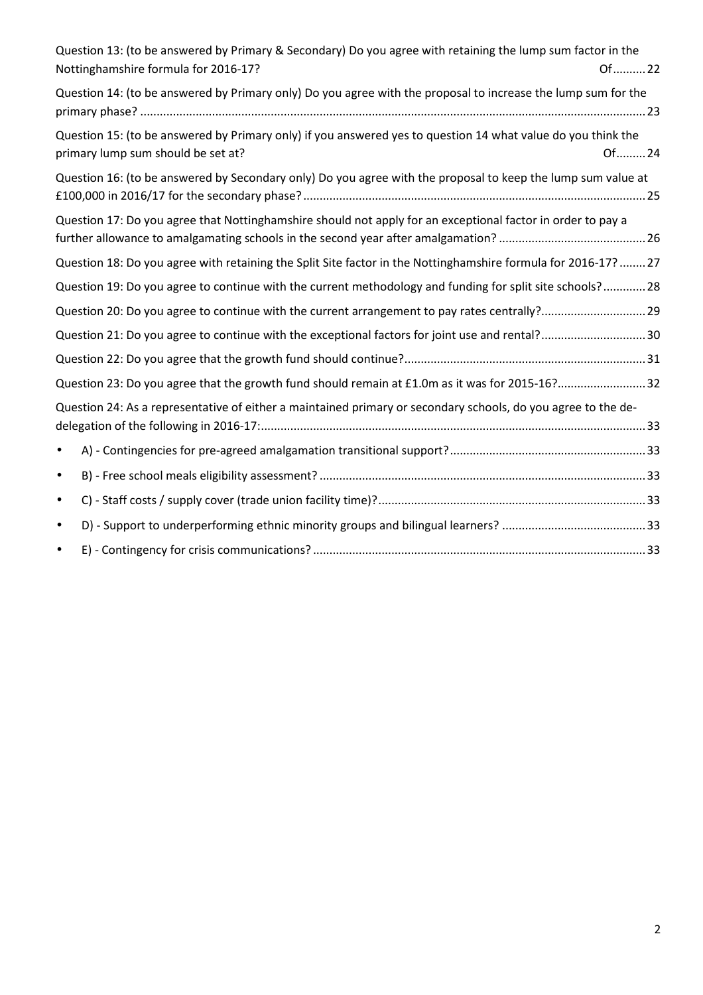| Question 13: (to be answered by Primary & Secondary) Do you agree with retaining the lump sum factor in the<br>Nottinghamshire formula for 2016-17?<br>Of  22 |
|---------------------------------------------------------------------------------------------------------------------------------------------------------------|
| Question 14: (to be answered by Primary only) Do you agree with the proposal to increase the lump sum for the                                                 |
| Question 15: (to be answered by Primary only) if you answered yes to question 14 what value do you think the<br>primary lump sum should be set at?<br>Of24    |
| Question 16: (to be answered by Secondary only) Do you agree with the proposal to keep the lump sum value at                                                  |
| Question 17: Do you agree that Nottinghamshire should not apply for an exceptional factor in order to pay a                                                   |
| Question 18: Do you agree with retaining the Split Site factor in the Nottinghamshire formula for 2016-17? 27                                                 |
| Question 19: Do you agree to continue with the current methodology and funding for split site schools?28                                                      |
| Question 20: Do you agree to continue with the current arrangement to pay rates centrally? 29                                                                 |
| Question 21: Do you agree to continue with the exceptional factors for joint use and rental?30                                                                |
|                                                                                                                                                               |
| Question 23: Do you agree that the growth fund should remain at £1.0m as it was for 2015-16?32                                                                |
| Question 24: As a representative of either a maintained primary or secondary schools, do you agree to the de-                                                 |
| $\bullet$                                                                                                                                                     |
| $\bullet$                                                                                                                                                     |
| $\bullet$                                                                                                                                                     |
| $\bullet$                                                                                                                                                     |
| $\bullet$                                                                                                                                                     |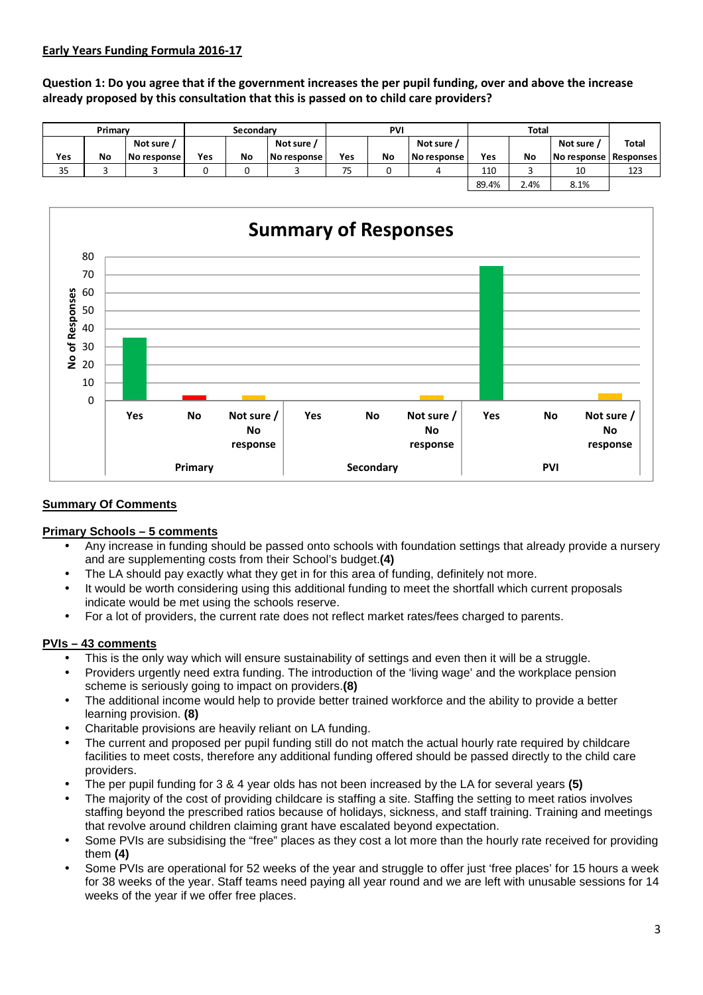#### **Early Years Funding Formula 2016-17**

**Question 1: Do you agree that if the government increases the per pupil funding, over and above the increase already proposed by this consultation that this is passed on to child care providers?** 

|     | Primary   |             | Secondary |    |             |     | <b>PVI</b> |             |       | <b>Total</b> |                         |              |
|-----|-----------|-------------|-----------|----|-------------|-----|------------|-------------|-------|--------------|-------------------------|--------------|
|     |           | Not sure /  |           |    | Not sure    |     |            | Not sure    |       |              | Not sure                | <b>Total</b> |
| Yes | <b>No</b> | No response | Yes       | No | No response | Yes | <b>No</b>  | No response | Yes   | No           | No response   Responses |              |
| 35  |           |             |           |    |             | 75  |            |             | 110   |              | 10                      | 123          |
|     |           |             |           |    |             |     |            |             | 89.4% | 2.4%         | 8.1%                    |              |



#### **Summary Of Comments**

## **Primary Schools – 5 comments**

- Any increase in funding should be passed onto schools with foundation settings that already provide a nursery and are supplementing costs from their School's budget.**(4)**
- The LA should pay exactly what they get in for this area of funding, definitely not more.
- It would be worth considering using this additional funding to meet the shortfall which current proposals indicate would be met using the schools reserve.
- For a lot of providers, the current rate does not reflect market rates/fees charged to parents.

## **PVIs – 43 comments**

- This is the only way which will ensure sustainability of settings and even then it will be a struggle.
- Providers urgently need extra funding. The introduction of the 'living wage' and the workplace pension scheme is seriously going to impact on providers.**(8)**
- The additional income would help to provide better trained workforce and the ability to provide a better learning provision. **(8)**
- Charitable provisions are heavily reliant on LA funding.
- The current and proposed per pupil funding still do not match the actual hourly rate required by childcare facilities to meet costs, therefore any additional funding offered should be passed directly to the child care providers.
- The per pupil funding for 3 & 4 year olds has not been increased by the LA for several years **(5)**
- The majority of the cost of providing childcare is staffing a site. Staffing the setting to meet ratios involves staffing beyond the prescribed ratios because of holidays, sickness, and staff training. Training and meetings that revolve around children claiming grant have escalated beyond expectation.
- Some PVIs are subsidising the "free" places as they cost a lot more than the hourly rate received for providing them **(4)**
- Some PVIs are operational for 52 weeks of the year and struggle to offer just 'free places' for 15 hours a week for 38 weeks of the year. Staff teams need paying all year round and we are left with unusable sessions for 14 weeks of the year if we offer free places.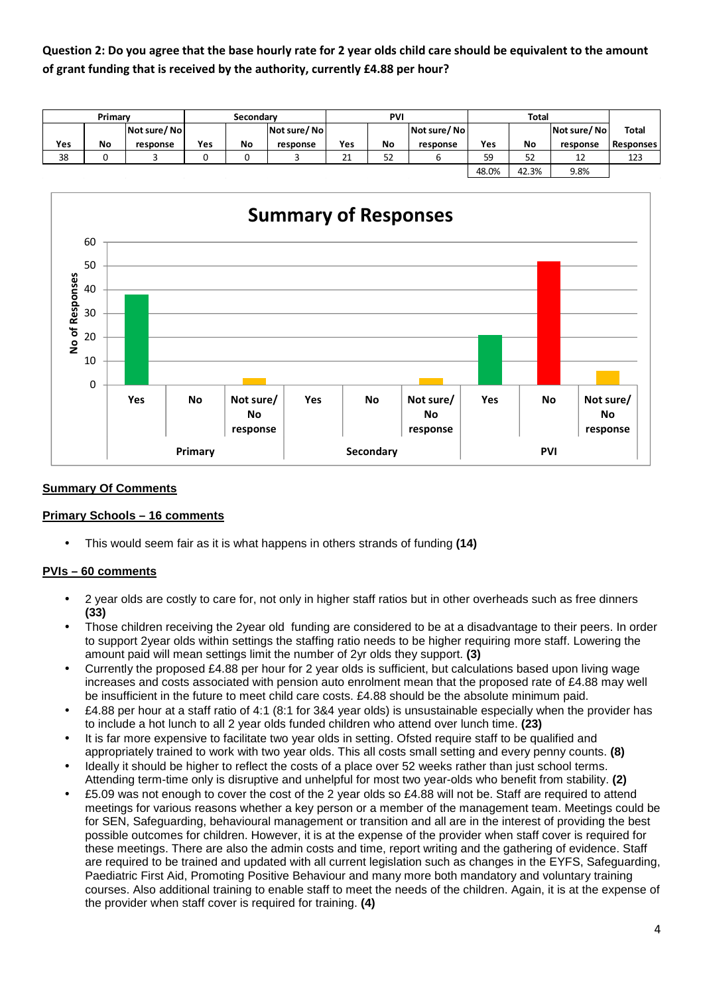**Question 2: Do you agree that the base hourly rate for 2 year olds child care should be equivalent to the amount of grant funding that is received by the authority, currently £4.88 per hour?** 

|     | Primary   |             | <b>Secondary</b> |    |             | PVI               |    |             |       | <b>Total</b> |             |                  |
|-----|-----------|-------------|------------------|----|-------------|-------------------|----|-------------|-------|--------------|-------------|------------------|
|     |           | Not sure/No |                  |    | Not sure/No |                   |    | Not sure/No |       |              | Not sure/No | <b>Total</b>     |
| Yes | <b>No</b> | response    | <b>Yes</b>       | No | response    | Yes               | No | response    | Yes   | No           | response    | <b>Responses</b> |
| 38  |           |             |                  |    |             | $\mathbf{a}$<br>ᅀ | 52 |             | 59    | 52           | 12          | 123              |
|     |           |             |                  |    |             |                   |    |             | 48.0% | 42.3%        | 9.8%        |                  |



#### **Summary Of Comments**

#### **Primary Schools – 16 comments**

• This would seem fair as it is what happens in others strands of funding **(14)** 

# **PVIs – 60 comments**

- 2 year olds are costly to care for, not only in higher staff ratios but in other overheads such as free dinners **(33)**
- Those children receiving the 2year old funding are considered to be at a disadvantage to their peers. In order to support 2year olds within settings the staffing ratio needs to be higher requiring more staff. Lowering the amount paid will mean settings limit the number of 2yr olds they support. **(3)**
- Currently the proposed £4.88 per hour for 2 year olds is sufficient, but calculations based upon living wage increases and costs associated with pension auto enrolment mean that the proposed rate of £4.88 may well be insufficient in the future to meet child care costs. £4.88 should be the absolute minimum paid.
- £4.88 per hour at a staff ratio of 4:1 (8:1 for 3&4 year olds) is unsustainable especially when the provider has to include a hot lunch to all 2 year olds funded children who attend over lunch time. **(23)**
- It is far more expensive to facilitate two year olds in setting. Ofsted require staff to be qualified and appropriately trained to work with two year olds. This all costs small setting and every penny counts. **(8)**
- Ideally it should be higher to reflect the costs of a place over 52 weeks rather than just school terms. Attending term-time only is disruptive and unhelpful for most two year-olds who benefit from stability. **(2)**
- £5.09 was not enough to cover the cost of the 2 year olds so £4.88 will not be. Staff are required to attend meetings for various reasons whether a key person or a member of the management team. Meetings could be for SEN, Safeguarding, behavioural management or transition and all are in the interest of providing the best possible outcomes for children. However, it is at the expense of the provider when staff cover is required for these meetings. There are also the admin costs and time, report writing and the gathering of evidence. Staff are required to be trained and updated with all current legislation such as changes in the EYFS, Safeguarding, Paediatric First Aid, Promoting Positive Behaviour and many more both mandatory and voluntary training courses. Also additional training to enable staff to meet the needs of the children. Again, it is at the expense of the provider when staff cover is required for training. **(4)**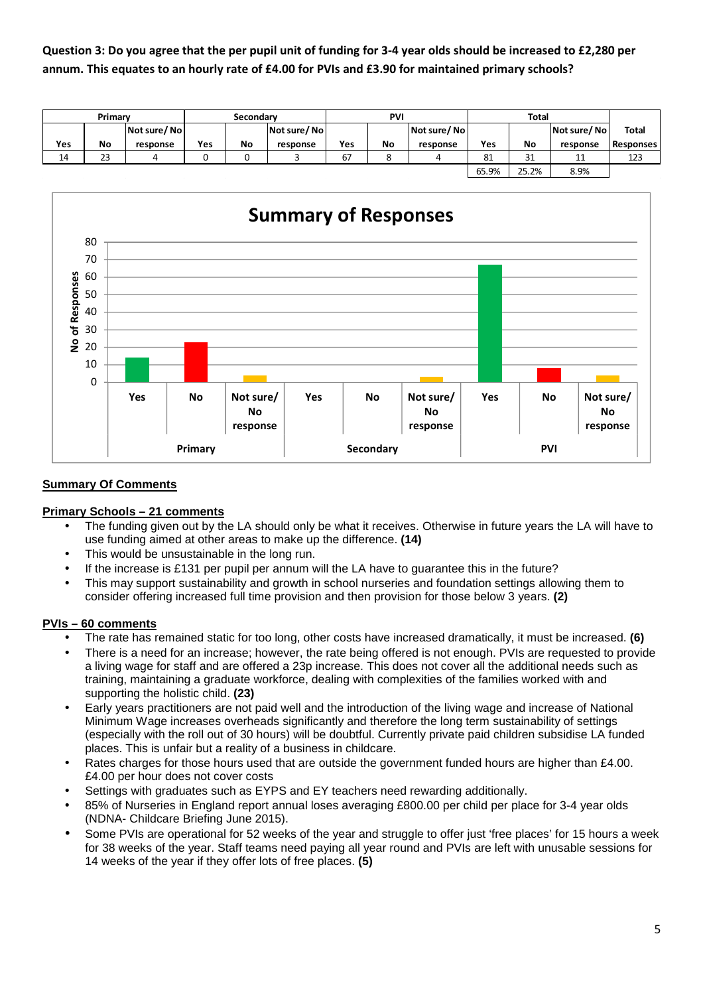**Question 3: Do you agree that the per pupil unit of funding for 3-4 year olds should be increased to £2,280 per annum. This equates to an hourly rate of £4.00 for PVIs and £3.90 for maintained primary schools?** 

|     | Primary   |             | <b>Secondary</b> |    |             | PVI |    |             |       | <b>Total</b> |             |                  |
|-----|-----------|-------------|------------------|----|-------------|-----|----|-------------|-------|--------------|-------------|------------------|
|     |           | Not sure/No |                  |    | Not sure/No |     |    | Not sure/No |       |              | Not sure/No | <b>Total</b>     |
| Yes | <b>No</b> | response    | <b>Yes</b>       | No | response    | Yes | No | response    | Yes   | No           | response    | <b>Responses</b> |
| 14  | 23        | 4           |                  |    |             | 67  | C  |             | 81    | 31           | 11          | 123              |
|     |           |             |                  |    |             |     |    |             | 65.9% | 25.2%        | 8.9%        |                  |



## **Summary Of Comments**

#### **Primary Schools – 21 comments**

- The funding given out by the LA should only be what it receives. Otherwise in future years the LA will have to use funding aimed at other areas to make up the difference. **(14)**
- This would be unsustainable in the long run.
- If the increase is £131 per pupil per annum will the LA have to quarantee this in the future?
- This may support sustainability and growth in school nurseries and foundation settings allowing them to consider offering increased full time provision and then provision for those below 3 years. **(2)**

#### **PVIs – 60 comments**

- The rate has remained static for too long, other costs have increased dramatically, it must be increased. **(6)**
- There is a need for an increase; however, the rate being offered is not enough. PVIs are requested to provide a living wage for staff and are offered a 23p increase. This does not cover all the additional needs such as training, maintaining a graduate workforce, dealing with complexities of the families worked with and supporting the holistic child. **(23)**
- Early years practitioners are not paid well and the introduction of the living wage and increase of National Minimum Wage increases overheads significantly and therefore the long term sustainability of settings (especially with the roll out of 30 hours) will be doubtful. Currently private paid children subsidise LA funded places. This is unfair but a reality of a business in childcare.
- Rates charges for those hours used that are outside the government funded hours are higher than £4.00. £4.00 per hour does not cover costs
- Settings with graduates such as EYPS and EY teachers need rewarding additionally.
- 85% of Nurseries in England report annual loses averaging £800.00 per child per place for 3-4 year olds (NDNA- Childcare Briefing June 2015).
- Some PVIs are operational for 52 weeks of the year and struggle to offer just 'free places' for 15 hours a week for 38 weeks of the year. Staff teams need paying all year round and PVIs are left with unusable sessions for 14 weeks of the year if they offer lots of free places. **(5)**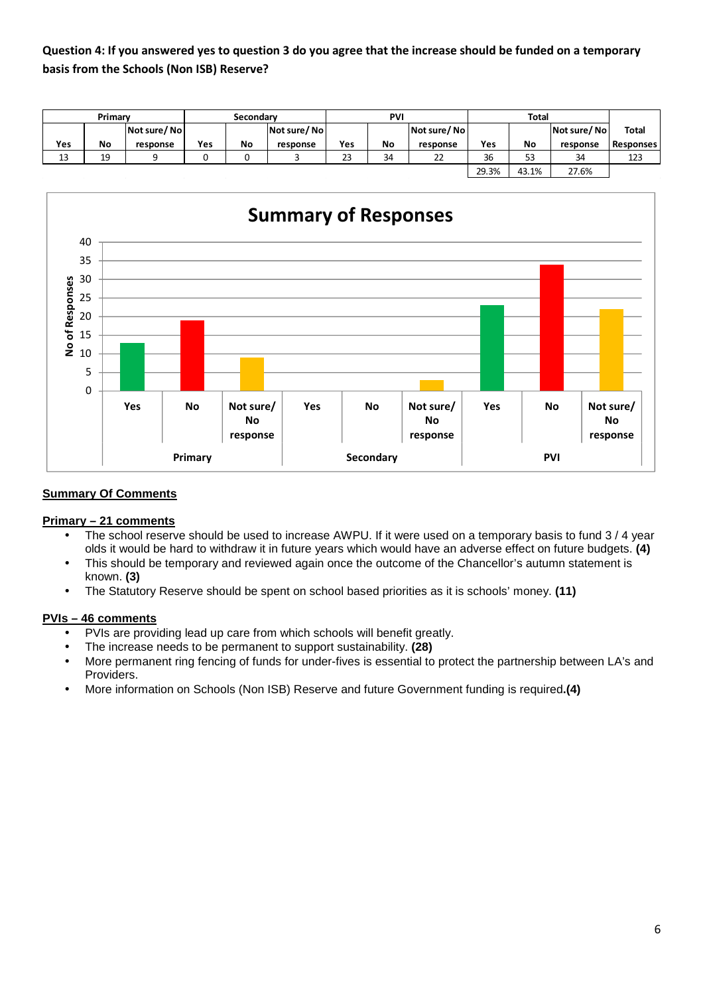# **Question 4: If you answered yes to question 3 do you agree that the increase should be funded on a temporary basis from the Schools (Non ISB) Reserve?**

|     | Primary   |             | <b>Secondary</b> |    |             | PVI |    |             |       | <b>Total</b> |             |                  |
|-----|-----------|-------------|------------------|----|-------------|-----|----|-------------|-------|--------------|-------------|------------------|
|     |           | Not sure/No |                  |    | Not sure/No |     |    | Not sure/No |       |              | Not sure/No | <b>Total</b>     |
| Yes | <b>No</b> | response    | <b>Yes</b>       | No | response    | Yes | No | response    | Yes   | No           | response    | <b>Responses</b> |
| 13  | 19        | a           |                  |    |             | 23  | 34 | 22          | 36    | 53           | 34          | 123              |
|     |           |             |                  |    |             |     |    |             | 29.3% | 43.1%        | 27.6%       |                  |



# **Summary Of Comments**

# **Primary – 21 comments**

- The school reserve should be used to increase AWPU. If it were used on a temporary basis to fund 3 / 4 year olds it would be hard to withdraw it in future years which would have an adverse effect on future budgets. **(4)**
- This should be temporary and reviewed again once the outcome of the Chancellor's autumn statement is known. **(3)**
- The Statutory Reserve should be spent on school based priorities as it is schools' money. **(11)**

## **PVIs – 46 comments**

- PVIs are providing lead up care from which schools will benefit greatly.
- The increase needs to be permanent to support sustainability. **(28)**
- More permanent ring fencing of funds for under-fives is essential to protect the partnership between LA's and Providers.
- More information on Schools (Non ISB) Reserve and future Government funding is required**.(4)**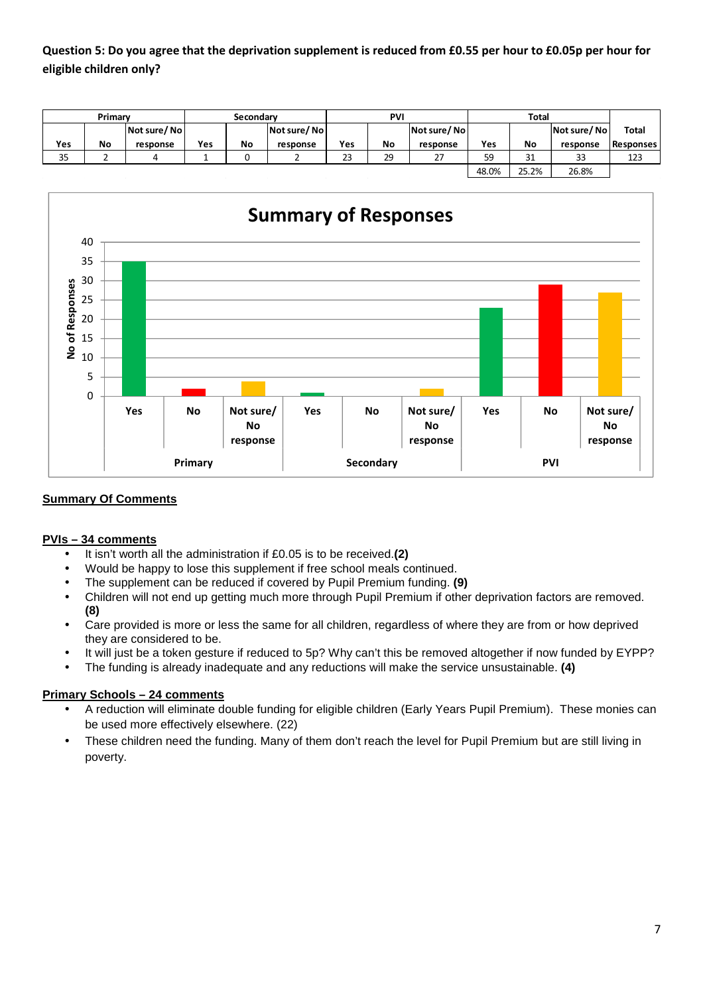**Question 5: Do you agree that the deprivation supplement is reduced from £0.55 per hour to £0.05p per hour for eligible children only?** 

|     | Primary |             | Secondary |    |             | <b>PVI</b> |    |             |       | <b>Total</b> |             |                  |
|-----|---------|-------------|-----------|----|-------------|------------|----|-------------|-------|--------------|-------------|------------------|
|     |         | Not sure/No |           |    | Not sure/No |            |    | Not sure/No |       |              | Not sure/No | <b>Total</b>     |
| Yes | No      | response    | Yes       | No | response    | Yes        | No | response    | Yes   | No           | response    | <b>Responses</b> |
| 35  |         |             |           |    |             | 23         | 29 | 27          | 59    | 31           | 33          | 123              |
|     |         |             |           |    |             |            |    |             | 48.0% | 25.2%        | 26.8%       |                  |



# **Summary Of Comments**

#### **PVIs – 34 comments**

- It isn't worth all the administration if £0.05 is to be received.**(2)**
- Would be happy to lose this supplement if free school meals continued.
- The supplement can be reduced if covered by Pupil Premium funding. **(9)**
- Children will not end up getting much more through Pupil Premium if other deprivation factors are removed. **(8)**
- Care provided is more or less the same for all children, regardless of where they are from or how deprived they are considered to be.
- It will just be a token gesture if reduced to 5p? Why can't this be removed altogether if now funded by EYPP?
- The funding is already inadequate and any reductions will make the service unsustainable. **(4)**

#### **Primary Schools – 24 comments**

- A reduction will eliminate double funding for eligible children (Early Years Pupil Premium). These monies can be used more effectively elsewhere. (22)
- These children need the funding. Many of them don't reach the level for Pupil Premium but are still living in poverty.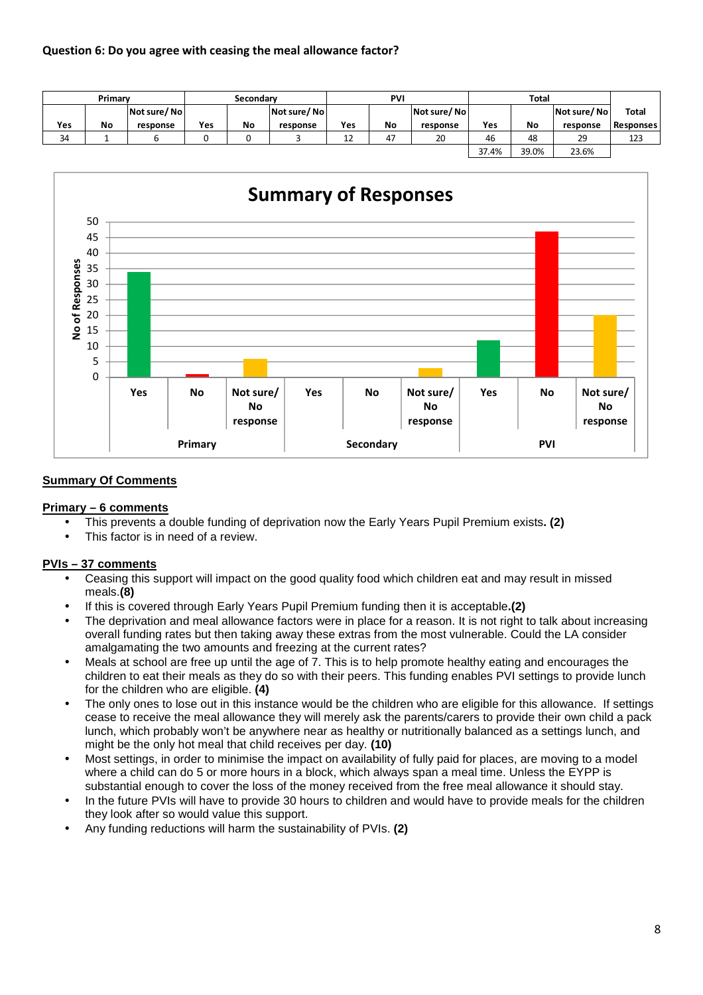|     | Primary |             | Secondary |    |             | <b>PV</b> |    |             |       | <b>Total</b> |             |                  |
|-----|---------|-------------|-----------|----|-------------|-----------|----|-------------|-------|--------------|-------------|------------------|
|     |         | Not sure/No |           |    | Not sure/No |           |    | Not sure/No |       |              | Not sure/No | <b>Total</b>     |
| Yes | No      | response    | Yes       | No | response    | Yes       | No | response    | Yes   | No           | response    | <b>Responses</b> |
| 34  |         |             |           |    |             | 1つ<br>Ŧ٢  | 47 | 20          | 46    | 48           | 29          | 123              |
|     |         |             |           |    |             |           |    |             | 37.4% | 39.0%        | 23.6%       |                  |



## **Summary Of Comments**

#### **Primary – 6 comments**

- This prevents a double funding of deprivation now the Early Years Pupil Premium exists**. (2)**
- This factor is in need of a review.

# **PVIs – 37 comments**

- Ceasing this support will impact on the good quality food which children eat and may result in missed meals.**(8)**
- If this is covered through Early Years Pupil Premium funding then it is acceptable**.(2)**
- The deprivation and meal allowance factors were in place for a reason. It is not right to talk about increasing overall funding rates but then taking away these extras from the most vulnerable. Could the LA consider amalgamating the two amounts and freezing at the current rates?
- Meals at school are free up until the age of 7. This is to help promote healthy eating and encourages the children to eat their meals as they do so with their peers. This funding enables PVI settings to provide lunch for the children who are eligible. **(4)**
- The only ones to lose out in this instance would be the children who are eligible for this allowance. If settings cease to receive the meal allowance they will merely ask the parents/carers to provide their own child a pack lunch, which probably won't be anywhere near as healthy or nutritionally balanced as a settings lunch, and might be the only hot meal that child receives per day. **(10)**
- Most settings, in order to minimise the impact on availability of fully paid for places, are moving to a model where a child can do 5 or more hours in a block, which always span a meal time. Unless the EYPP is substantial enough to cover the loss of the money received from the free meal allowance it should stay.
- In the future PVIs will have to provide 30 hours to children and would have to provide meals for the children they look after so would value this support.
- Any funding reductions will harm the sustainability of PVIs. **(2)**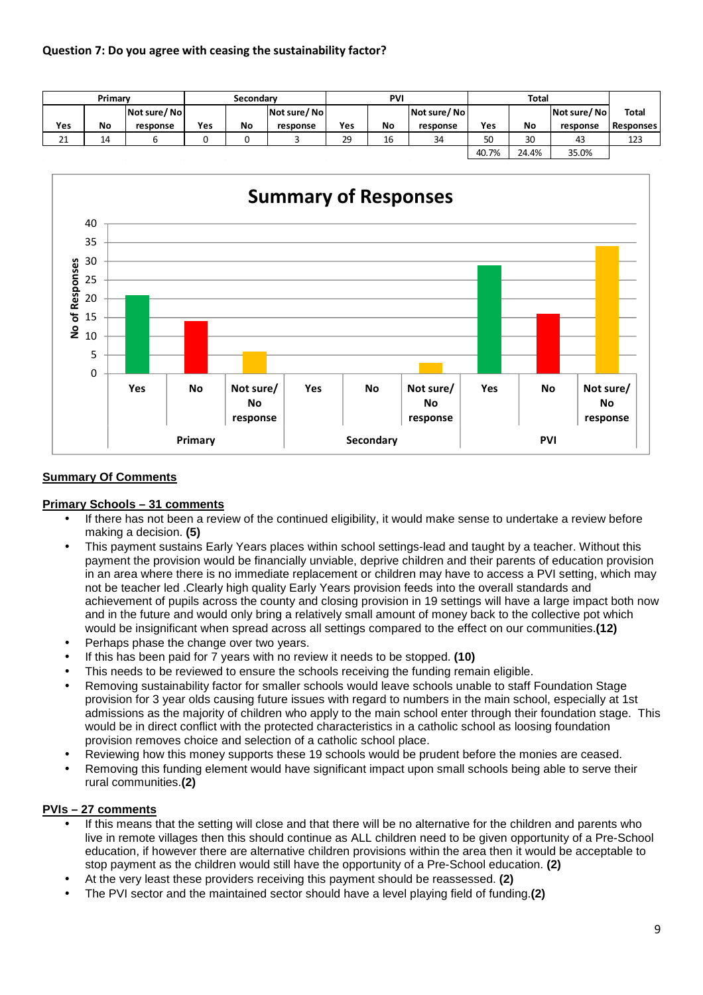|         | Primary |             | Secondary |    |             |     | <b>PVI</b> |             |       | <b>Total</b> |             |                  |
|---------|---------|-------------|-----------|----|-------------|-----|------------|-------------|-------|--------------|-------------|------------------|
|         |         | Not sure/No |           |    | Not sure/No |     |            | Not sure/No |       |              | Not sure/No | Total            |
| Yes     | No      | response    | Yes       | No | response    | Yes | No         | response    | Yes   | No           | response    | <b>Responses</b> |
| 21<br>ᅀ | 14      |             |           |    |             | 29  | 16         | 34          | 50    | 30           | 43          | 123              |
|         |         |             |           |    |             |     |            |             | 40.7% | 24.4%        | 35.0%       |                  |



## **Summary Of Comments**

## **Primary Schools – 31 comments**

- If there has not been a review of the continued eligibility, it would make sense to undertake a review before making a decision. **(5)**
- This payment sustains Early Years places within school settings-lead and taught by a teacher. Without this payment the provision would be financially unviable, deprive children and their parents of education provision in an area where there is no immediate replacement or children may have to access a PVI setting, which may not be teacher led .Clearly high quality Early Years provision feeds into the overall standards and achievement of pupils across the county and closing provision in 19 settings will have a large impact both now and in the future and would only bring a relatively small amount of money back to the collective pot which would be insignificant when spread across all settings compared to the effect on our communities.**(12)**
- Perhaps phase the change over two years.
- If this has been paid for 7 years with no review it needs to be stopped. **(10)**
- This needs to be reviewed to ensure the schools receiving the funding remain eligible.
- Removing sustainability factor for smaller schools would leave schools unable to staff Foundation Stage provision for 3 year olds causing future issues with regard to numbers in the main school, especially at 1st admissions as the majority of children who apply to the main school enter through their foundation stage. This would be in direct conflict with the protected characteristics in a catholic school as loosing foundation provision removes choice and selection of a catholic school place.
- Reviewing how this money supports these 19 schools would be prudent before the monies are ceased.
- Removing this funding element would have significant impact upon small schools being able to serve their rural communities.**(2)**

#### **PVIs – 27 comments**

- If this means that the setting will close and that there will be no alternative for the children and parents who live in remote villages then this should continue as ALL children need to be given opportunity of a Pre-School education, if however there are alternative children provisions within the area then it would be acceptable to stop payment as the children would still have the opportunity of a Pre-School education. **(2)**
- At the very least these providers receiving this payment should be reassessed. **(2)**
- The PVI sector and the maintained sector should have a level playing field of funding.**(2)**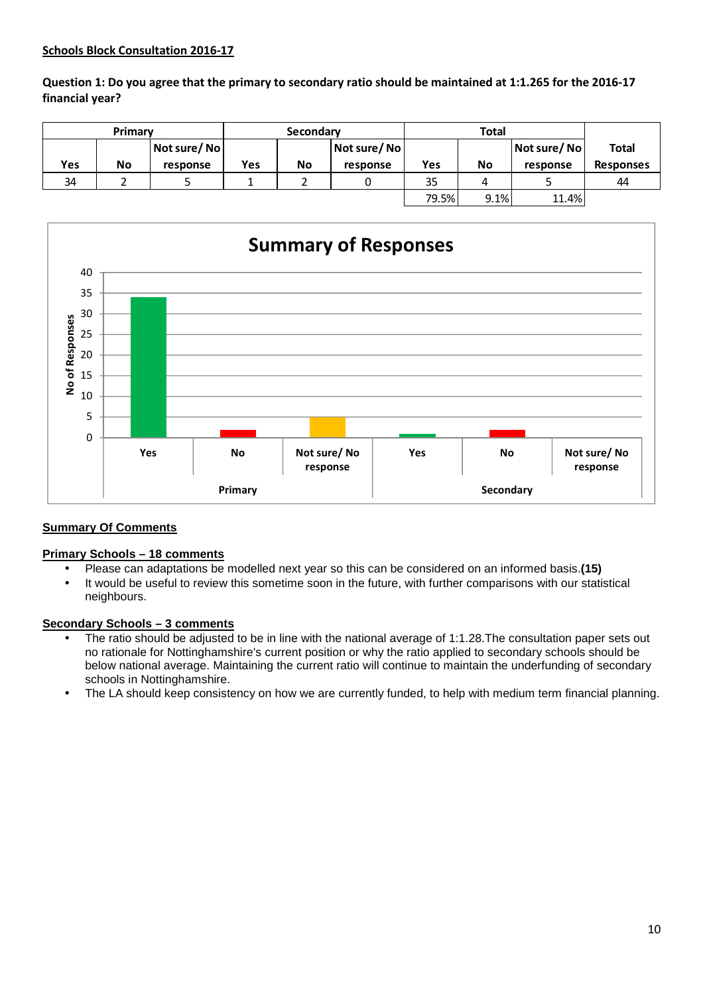## **Schools Block Consultation 2016-17**

**Question 1: Do you agree that the primary to secondary ratio should be maintained at 1:1.265 for the 2016-17 financial year?** 

|     | Primary   |             |     | Secondary |             |       |      |             |                  |
|-----|-----------|-------------|-----|-----------|-------------|-------|------|-------------|------------------|
|     |           | Not sure/No |     |           | Not sure/No |       |      | Not sure/No | <b>Total</b>     |
| Yes | <b>No</b> | response    | Yes | <b>No</b> | response    | Yes   | No   | response    | <b>Responses</b> |
| 34  |           |             |     |           |             | 35    |      |             | 44               |
|     |           |             |     |           |             | 79.5% | 9.1% | 11.4%       |                  |



#### **Summary Of Comments**

#### **Primary Schools – 18 comments**

- Please can adaptations be modelled next year so this can be considered on an informed basis.**(15)**
- It would be useful to review this sometime soon in the future, with further comparisons with our statistical neighbours.

#### **Secondary Schools – 3 comments**

- The ratio should be adjusted to be in line with the national average of 1:1.28. The consultation paper sets out no rationale for Nottinghamshire's current position or why the ratio applied to secondary schools should be below national average. Maintaining the current ratio will continue to maintain the underfunding of secondary schools in Nottinghamshire.
- The LA should keep consistency on how we are currently funded, to help with medium term financial planning.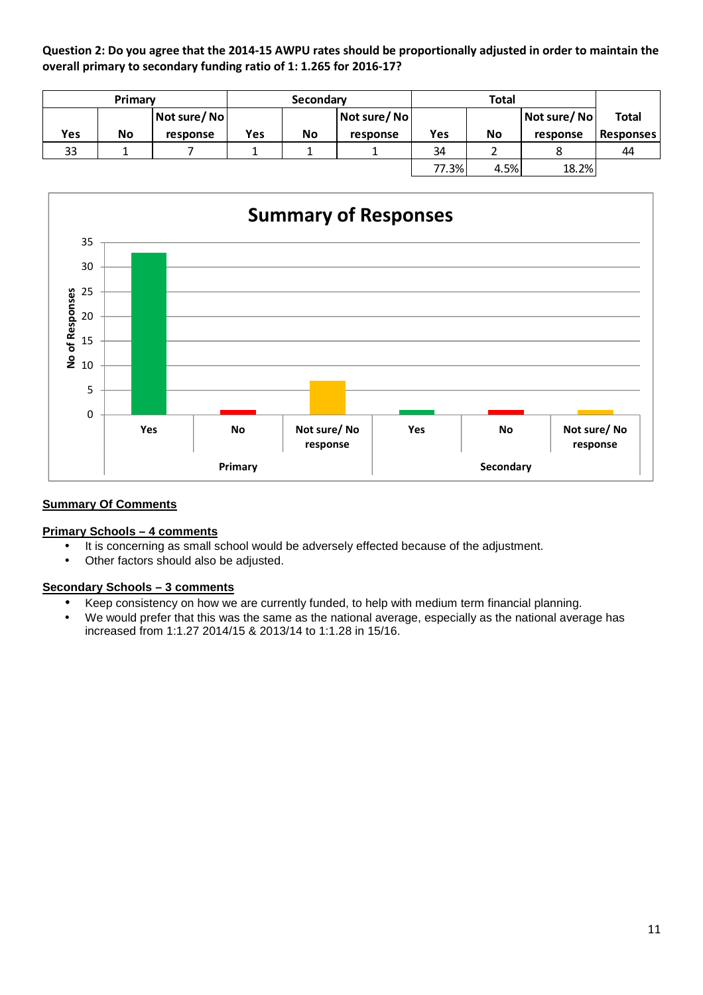**Question 2: Do you agree that the 2014-15 AWPU rates should be proportionally adjusted in order to maintain the overall primary to secondary funding ratio of 1: 1.265 for 2016-17?** 

|     | Primary |             |     | Secondary |              |       |           |             |                  |
|-----|---------|-------------|-----|-----------|--------------|-------|-----------|-------------|------------------|
|     |         | Not sure/No |     |           | Not sure/ No |       |           | Not sure/No | Total            |
| Yes | No      | response    | Yes | <b>No</b> | response     | Yes   | <b>No</b> | response    | <b>Responses</b> |
| 33  |         |             |     |           |              | 34    |           |             | 44               |
|     |         |             |     |           |              | 77.3% | 4.5%      | 18.2%       |                  |



## **Summary Of Comments**

#### **Primary Schools – 4 comments**

- It is concerning as small school would be adversely effected because of the adjustment.
- Other factors should also be adjusted.

## **Secondary Schools – 3 comments**

- Keep consistency on how we are currently funded, to help with medium term financial planning.
- We would prefer that this was the same as the national average, especially as the national average has increased from 1:1.27 2014/15 & 2013/14 to 1:1.28 in 15/16.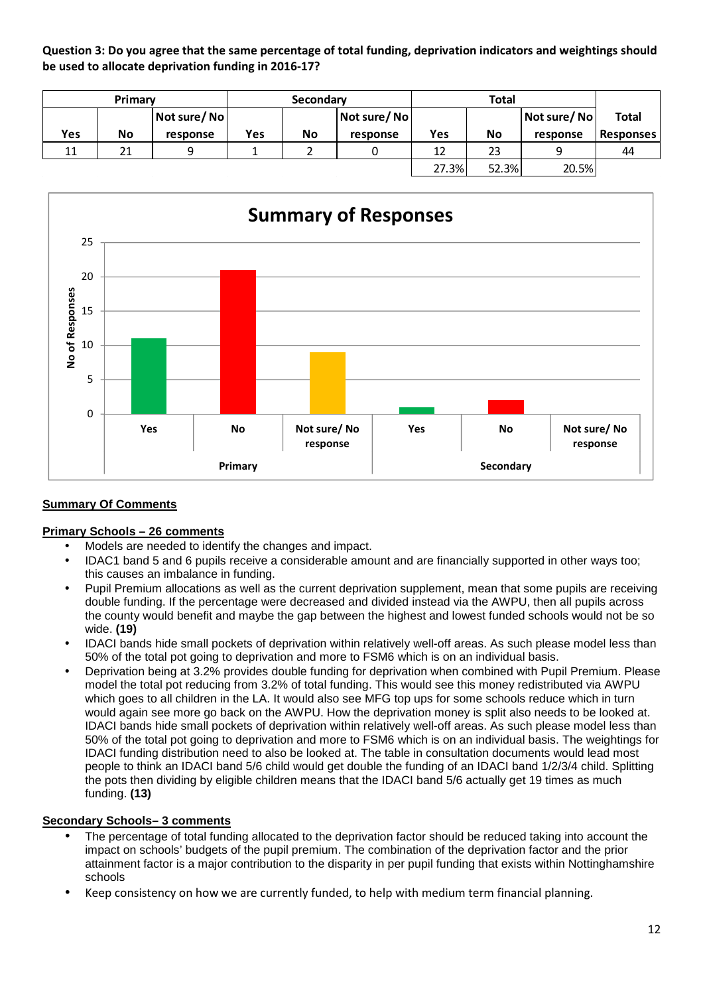**Question 3: Do you agree that the same percentage of total funding, deprivation indicators and weightings should be used to allocate deprivation funding in 2016-17?** 

|            | Primary |             |     | Secondary |             |       |           |             |                  |
|------------|---------|-------------|-----|-----------|-------------|-------|-----------|-------------|------------------|
|            |         | Not sure/No |     |           | Not sure/No |       |           | Not sure/No | <b>Total</b>     |
| <b>Yes</b> | No      | response    | Yes | <b>No</b> | response    | Yes   | <b>No</b> | response    | <b>Responses</b> |
| 11         | 21      | a           |     |           |             | 12    | 23        | q           | 44               |
|            |         |             |     |           |             | 27.3% | 52.3%     | 20.5%       |                  |



# **Summary Of Comments**

#### **Primary Schools – 26 comments**

- Models are needed to identify the changes and impact.
- IDAC1 band 5 and 6 pupils receive a considerable amount and are financially supported in other ways too; this causes an imbalance in funding.
- Pupil Premium allocations as well as the current deprivation supplement, mean that some pupils are receiving double funding. If the percentage were decreased and divided instead via the AWPU, then all pupils across the county would benefit and maybe the gap between the highest and lowest funded schools would not be so wide. **(19)**
- IDACI bands hide small pockets of deprivation within relatively well-off areas. As such please model less than 50% of the total pot going to deprivation and more to FSM6 which is on an individual basis.
- Deprivation being at 3.2% provides double funding for deprivation when combined with Pupil Premium. Please model the total pot reducing from 3.2% of total funding. This would see this money redistributed via AWPU which goes to all children in the LA. It would also see MFG top ups for some schools reduce which in turn would again see more go back on the AWPU. How the deprivation money is split also needs to be looked at. IDACI bands hide small pockets of deprivation within relatively well-off areas. As such please model less than 50% of the total pot going to deprivation and more to FSM6 which is on an individual basis. The weightings for IDACI funding distribution need to also be looked at. The table in consultation documents would lead most people to think an IDACI band 5/6 child would get double the funding of an IDACI band 1/2/3/4 child. Splitting the pots then dividing by eligible children means that the IDACI band 5/6 actually get 19 times as much funding. **(13)**

#### **Secondary Schools– 3 comments**

- The percentage of total funding allocated to the deprivation factor should be reduced taking into account the impact on schools' budgets of the pupil premium. The combination of the deprivation factor and the prior attainment factor is a major contribution to the disparity in per pupil funding that exists within Nottinghamshire schools
- Keep consistency on how we are currently funded, to help with medium term financial planning.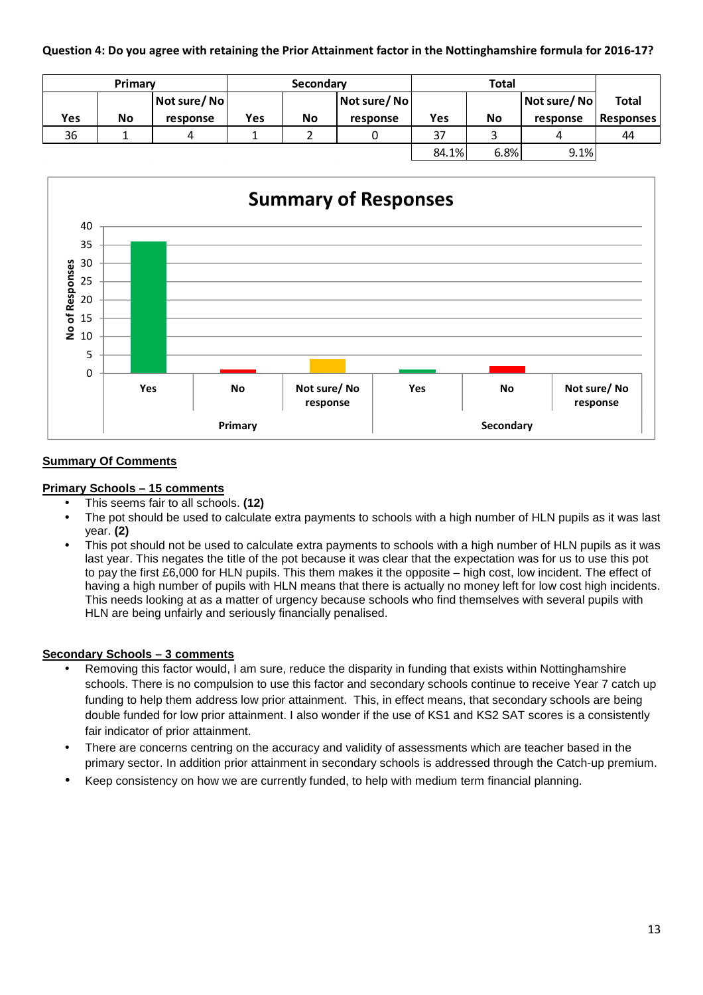**Question 4: Do you agree with retaining the Prior Attainment factor in the Nottinghamshire formula for 2016-17?**

| Primary |    |             | Secondary |    |             | <b>Total</b> |      |             |                  |
|---------|----|-------------|-----------|----|-------------|--------------|------|-------------|------------------|
|         |    | Not sure/No |           |    | Not sure/No |              |      | Not sure/No | <b>Total</b>     |
| Yes     | No | response    | Yes       | No | response    | Yes          | No   | response    | <b>Responses</b> |
| 36      |    |             |           | ▃  |             | 37           |      |             | 44               |
|         |    |             |           |    |             | 84.1%        | 6.8% | 9.1%        |                  |



# **Summary Of Comments**

#### **Primary Schools – 15 comments**

- This seems fair to all schools. **(12)**
- The pot should be used to calculate extra payments to schools with a high number of HLN pupils as it was last year. **(2)**
- This pot should not be used to calculate extra payments to schools with a high number of HLN pupils as it was last year. This negates the title of the pot because it was clear that the expectation was for us to use this pot to pay the first £6,000 for HLN pupils. This them makes it the opposite – high cost, low incident. The effect of having a high number of pupils with HLN means that there is actually no money left for low cost high incidents. This needs looking at as a matter of urgency because schools who find themselves with several pupils with HLN are being unfairly and seriously financially penalised.

#### **Secondary Schools – 3 comments**

- Removing this factor would, I am sure, reduce the disparity in funding that exists within Nottinghamshire schools. There is no compulsion to use this factor and secondary schools continue to receive Year 7 catch up funding to help them address low prior attainment. This, in effect means, that secondary schools are being double funded for low prior attainment. I also wonder if the use of KS1 and KS2 SAT scores is a consistently fair indicator of prior attainment.
- There are concerns centring on the accuracy and validity of assessments which are teacher based in the primary sector. In addition prior attainment in secondary schools is addressed through the Catch-up premium.
- Keep consistency on how we are currently funded, to help with medium term financial planning.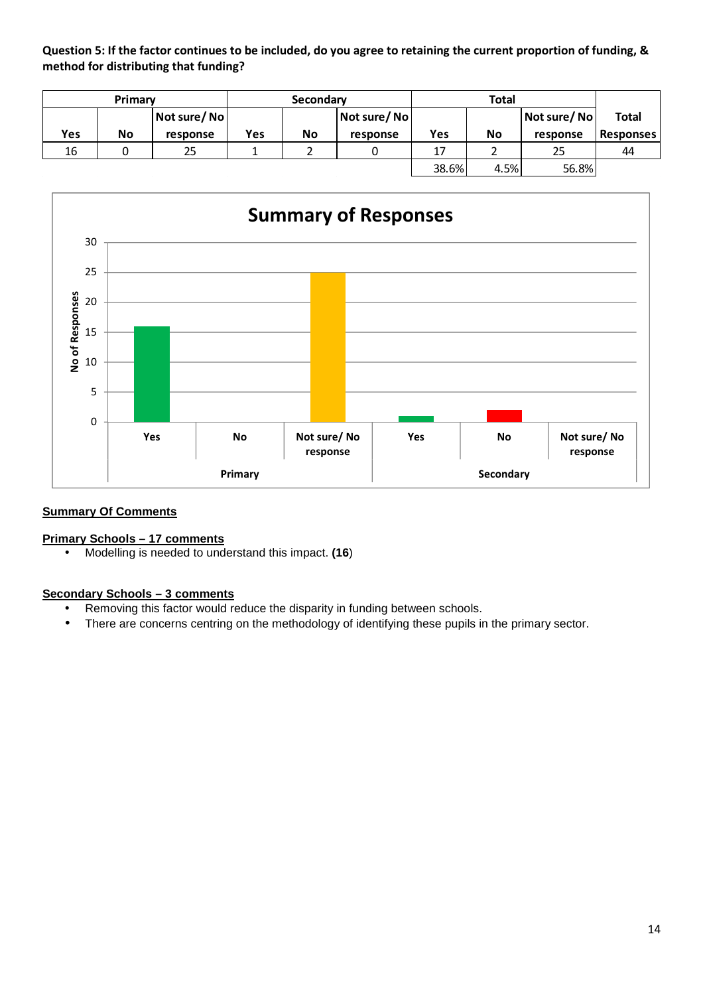**Question 5: If the factor continues to be included, do you agree to retaining the current proportion of funding, & method for distributing that funding?** 

|     | Primary |             |     | Secondary |             |       | <b>Total</b> |             |                  |
|-----|---------|-------------|-----|-----------|-------------|-------|--------------|-------------|------------------|
|     |         | Not sure/No |     |           | Not sure/No |       |              | Not sure/No | <b>Total</b>     |
| Yes | No      | response    | Yes | No        | response    | Yes   | No           | response    | <b>Responses</b> |
| 16  |         | 25          |     |           |             | 17    |              | 25          | 44               |
|     |         |             |     |           |             | 38.6% | 4.5%         | 56.8%       |                  |



# **Summary Of Comments**

#### **Primary Schools – 17 comments**

• Modelling is needed to understand this impact. **(16**)

#### **Secondary Schools – 3 comments**

- Removing this factor would reduce the disparity in funding between schools.
- There are concerns centring on the methodology of identifying these pupils in the primary sector.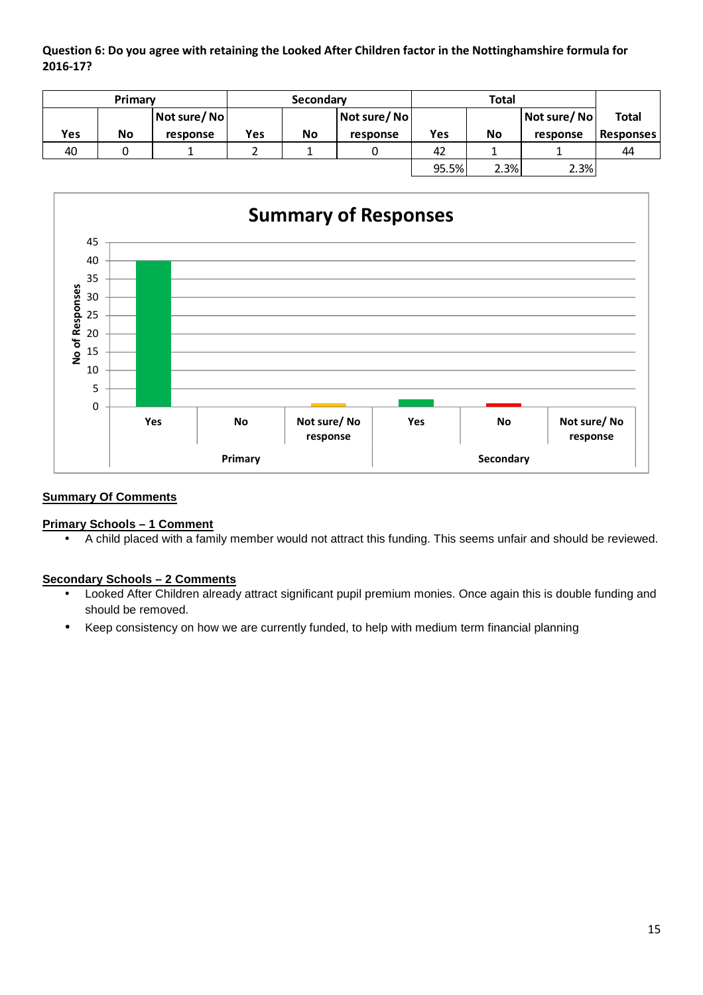**Question 6: Do you agree with retaining the Looked After Children factor in the Nottinghamshire formula for 2016-17?** 

|     | Primary |             |     | <b>Total</b><br>Secondary |             |       |      |             |                  |
|-----|---------|-------------|-----|---------------------------|-------------|-------|------|-------------|------------------|
|     |         | Not sure/No |     |                           | Not sure/No |       |      | Not sure/No | Total            |
| Yes | No      | response    | Yes | No                        | response    | Yes   | No   | response    | <b>Responses</b> |
| 40  |         |             |     |                           |             | 42    |      |             | 44               |
|     |         |             |     |                           |             | 95.5% | 2.3% | 2.3%        |                  |



# **Summary Of Comments**

#### **Primary Schools – 1 Comment**

• A child placed with a family member would not attract this funding. This seems unfair and should be reviewed.

#### **Secondary Schools – 2 Comments**

- Looked After Children already attract significant pupil premium monies. Once again this is double funding and should be removed.
- Keep consistency on how we are currently funded, to help with medium term financial planning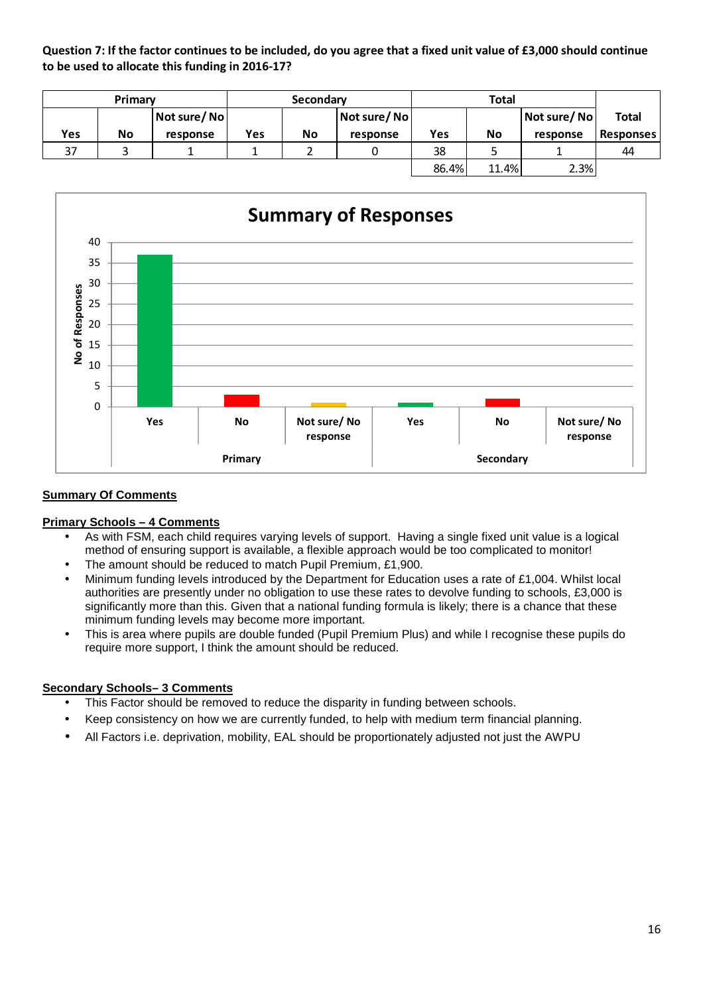**Question 7: If the factor continues to be included, do you agree that a fixed unit value of £3,000 should continue to be used to allocate this funding in 2016-17?** 

|     | Primary |              |     | Secondary |                      |       | <b>Total</b> |             |                  |
|-----|---------|--------------|-----|-----------|----------------------|-------|--------------|-------------|------------------|
|     |         | Not sure/ No |     |           | <b>Not sure/Noll</b> |       |              | Not sure/No | Total            |
| Yes | No      | response     | Yes | <b>No</b> | response             | Yes   | <b>No</b>    | response    | <b>Responses</b> |
| 37  |         |              |     |           |                      | 38    |              |             | 44               |
|     |         |              |     |           |                      | 86.4% | 11.4%        | 2.3%        |                  |



## **Summary Of Comments**

#### **Primary Schools – 4 Comments**

- As with FSM, each child requires varying levels of support. Having a single fixed unit value is a logical method of ensuring support is available, a flexible approach would be too complicated to monitor!
- The amount should be reduced to match Pupil Premium, £1,900.
- Minimum funding levels introduced by the Department for Education uses a rate of £1,004. Whilst local authorities are presently under no obligation to use these rates to devolve funding to schools, £3,000 is significantly more than this. Given that a national funding formula is likely; there is a chance that these minimum funding levels may become more important.
- This is area where pupils are double funded (Pupil Premium Plus) and while I recognise these pupils do require more support, I think the amount should be reduced.

#### **Secondary Schools– 3 Comments**

- This Factor should be removed to reduce the disparity in funding between schools.
- Keep consistency on how we are currently funded, to help with medium term financial planning.
- All Factors i.e. deprivation, mobility, EAL should be proportionately adjusted not just the AWPU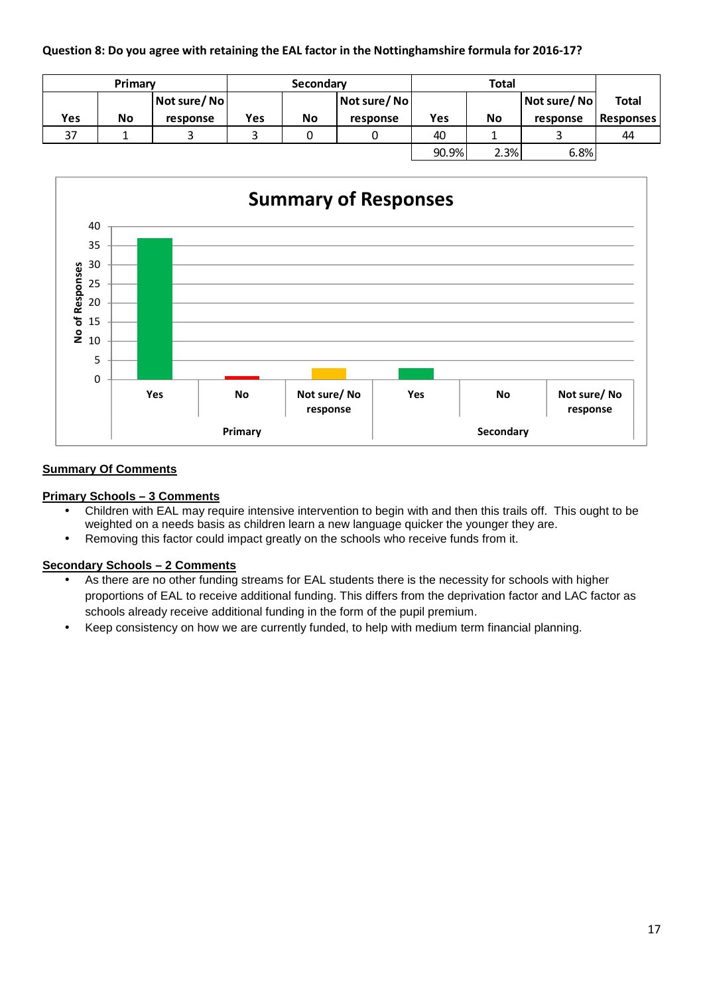## **Question 8: Do you agree with retaining the EAL factor in the Nottinghamshire formula for 2016-17?**

|     | Primary |             |     | <b>Total</b><br>Secondary |             |       |           |             |                  |
|-----|---------|-------------|-----|---------------------------|-------------|-------|-----------|-------------|------------------|
|     |         | Not sure/No |     |                           | Not sure/No |       |           | Not sure/No | <b>Total</b>     |
| Yes | No      | response    | Yes | <b>No</b>                 | response    | Yes   | <b>No</b> | response    | <b>Responses</b> |
| 37  |         |             |     |                           |             | 40    |           |             | 44               |
|     |         |             |     |                           |             | 90.9% | 2.3%      | 6.8%        |                  |



## **Summary Of Comments**

#### **Primary Schools – 3 Comments**

- Children with EAL may require intensive intervention to begin with and then this trails off. This ought to be weighted on a needs basis as children learn a new language quicker the younger they are.
- Removing this factor could impact greatly on the schools who receive funds from it.

#### **Secondary Schools – 2 Comments**

- As there are no other funding streams for EAL students there is the necessity for schools with higher proportions of EAL to receive additional funding. This differs from the deprivation factor and LAC factor as schools already receive additional funding in the form of the pupil premium.
- Keep consistency on how we are currently funded, to help with medium term financial planning.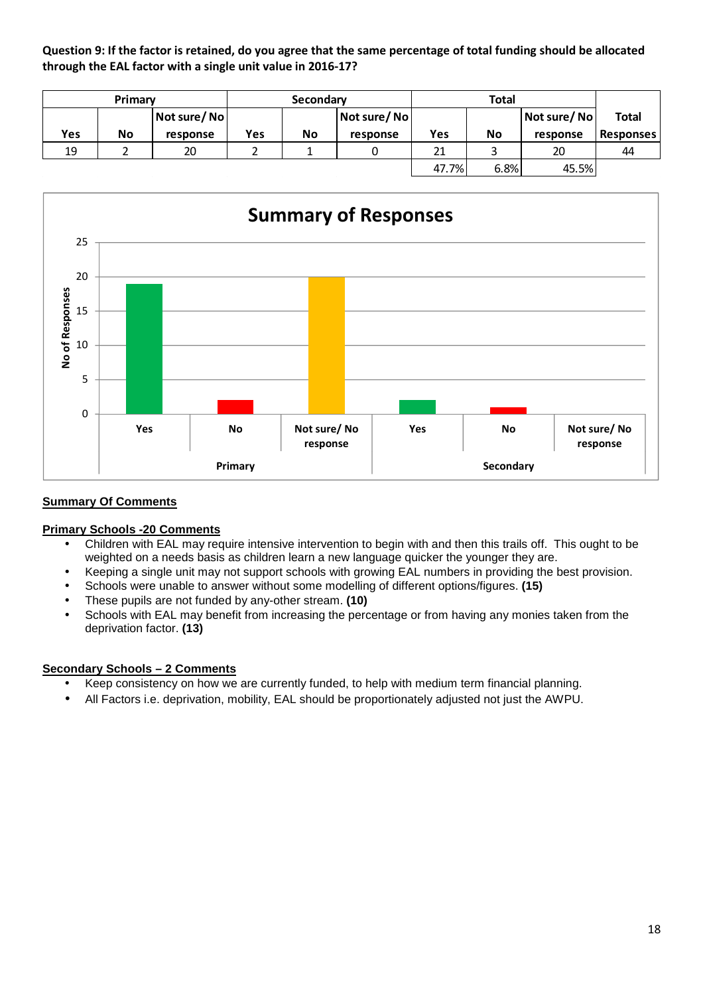**Question 9: If the factor is retained, do you agree that the same percentage of total funding should be allocated through the EAL factor with a single unit value in 2016-17?** 

|     | Primary |              |     | Secondary |                      |       | Total     |             |                  |
|-----|---------|--------------|-----|-----------|----------------------|-------|-----------|-------------|------------------|
|     |         | Not sure/ No |     |           | <b>Not sure/Noll</b> |       |           | Not sure/No | <b>Total</b>     |
| Yes | No      | response     | Yes | No        | response             | Yes   | <b>No</b> | response    | <b>Responses</b> |
| 19  |         | 20           |     |           |                      | 21    |           | 20          | 44               |
|     |         |              |     |           |                      | 47.7% | 6.8%      | 45.5%       |                  |



## **Summary Of Comments**

#### **Primary Schools -20 Comments**

- Children with EAL may require intensive intervention to begin with and then this trails off. This ought to be weighted on a needs basis as children learn a new language quicker the younger they are.
- Keeping a single unit may not support schools with growing EAL numbers in providing the best provision.
- Schools were unable to answer without some modelling of different options/figures. **(15)**
- These pupils are not funded by any-other stream. **(10)**
- Schools with EAL may benefit from increasing the percentage or from having any monies taken from the deprivation factor. **(13)**

#### **Secondary Schools – 2 Comments**

- Keep consistency on how we are currently funded, to help with medium term financial planning.
- All Factors i.e. deprivation, mobility, EAL should be proportionately adjusted not just the AWPU.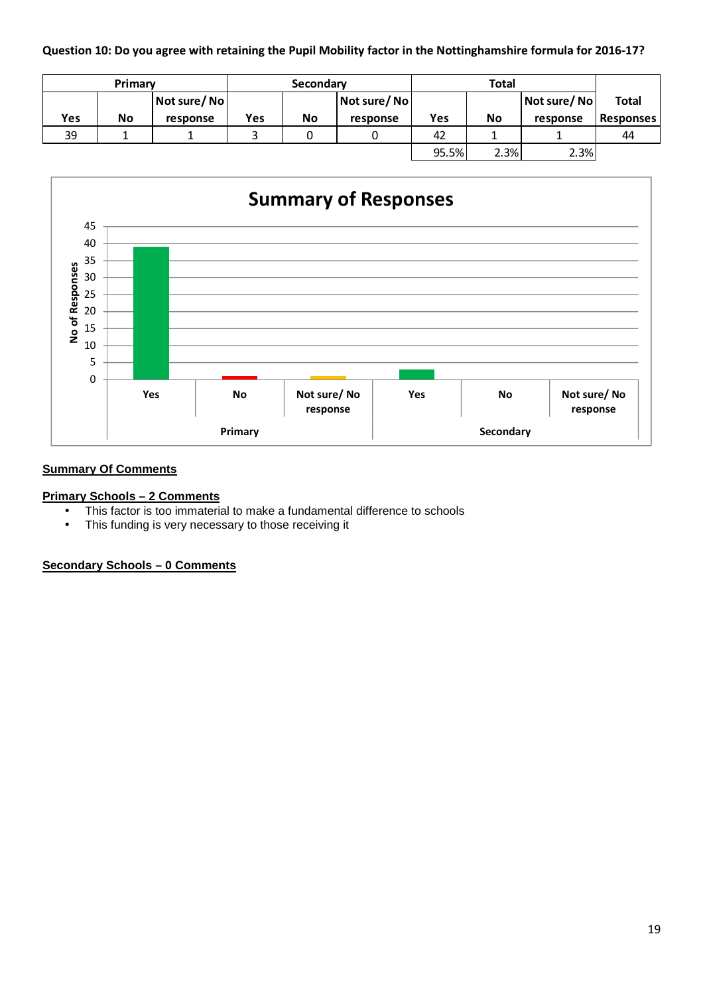**Question 10: Do you agree with retaining the Pupil Mobility factor in the Nottinghamshire formula for 2016-17?**

|     | Primary |             |     | Secondary |             |       | <b>Total</b> |              |                  |
|-----|---------|-------------|-----|-----------|-------------|-------|--------------|--------------|------------------|
|     |         | Not sure/No |     |           | Not sure/No |       |              | Not sure/ No | <b>Total</b>     |
| Yes | No      | response    | Yes | No        | response    | Yes   | No           | response     | <b>Responses</b> |
| 39  |         |             |     |           |             | 42    |              |              | 44               |
|     |         |             |     |           |             | 95.5% | 2.3%         | 2.3%         |                  |



# **Summary Of Comments**

### **Primary Schools – 2 Comments**

- This factor is too immaterial to make a fundamental difference to schools
- This funding is very necessary to those receiving it

**Secondary Schools – 0 Comments**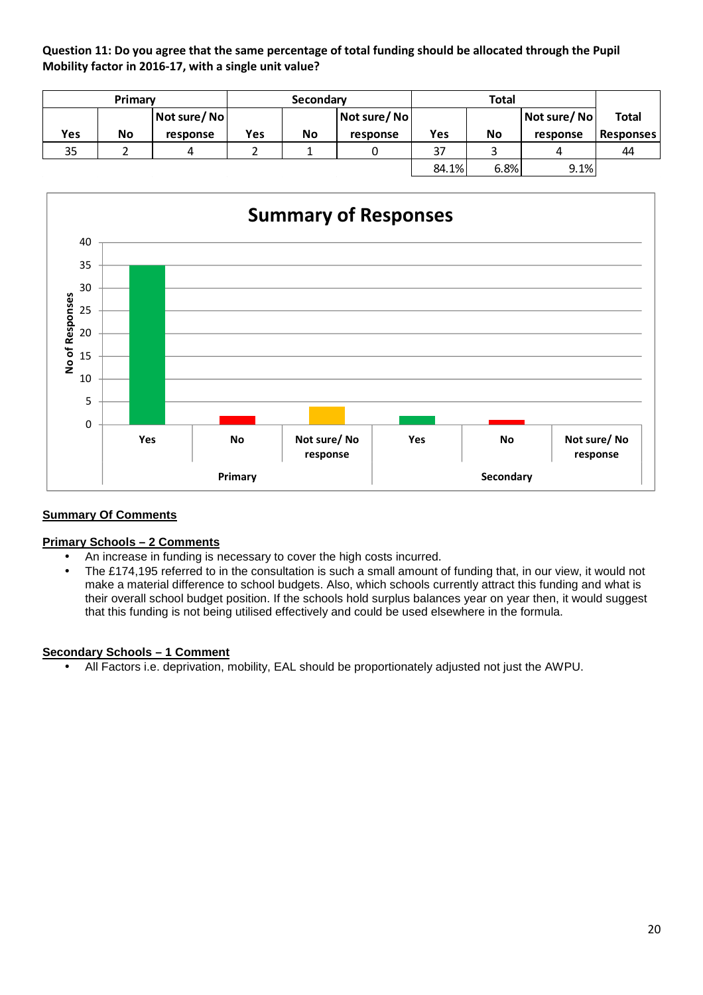**Question 11: Do you agree that the same percentage of total funding should be allocated through the Pupil Mobility factor in 2016-17, with a single unit value?** 

|     | Primary |             |     | Secondary |             |       | <b>Total</b> |             |                  |  |
|-----|---------|-------------|-----|-----------|-------------|-------|--------------|-------------|------------------|--|
|     |         | Not sure/No |     |           | Not sure/No |       |              | Not sure/No | <b>Total</b>     |  |
| Yes | No      | response    | Yes | <b>No</b> | response    | Yes   | <b>No</b>    | response    | <b>Responses</b> |  |
| 35  |         | 4           |     |           |             | 37    |              | 4           | 44               |  |
|     |         |             |     |           |             | 84.1% | 6.8%         | 9.1%        |                  |  |



# **Summary Of Comments**

# **Primary Schools – 2 Comments**

- An increase in funding is necessary to cover the high costs incurred.
- The £174,195 referred to in the consultation is such a small amount of funding that, in our view, it would not make a material difference to school budgets. Also, which schools currently attract this funding and what is their overall school budget position. If the schools hold surplus balances year on year then, it would suggest that this funding is not being utilised effectively and could be used elsewhere in the formula.

#### **Secondary Schools – 1 Comment**

• All Factors i.e. deprivation, mobility, EAL should be proportionately adjusted not just the AWPU.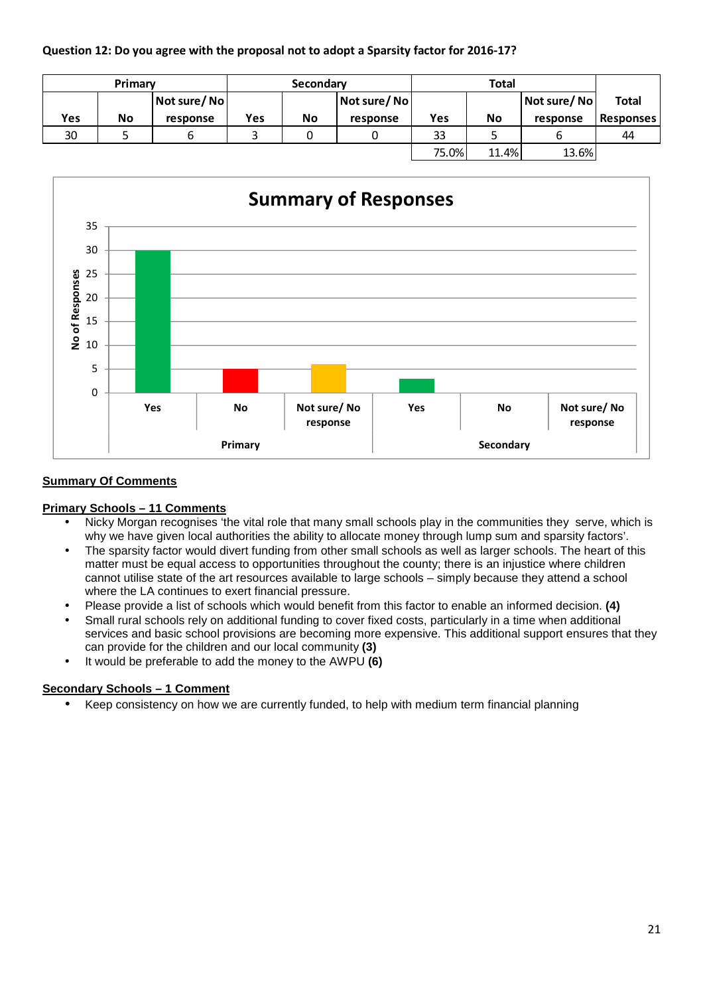## **Question 12: Do you agree with the proposal not to adopt a Sparsity factor for 2016-17?**

|     | Primary |             |     | Secondary |             |       | <b>Total</b> |             |                  |
|-----|---------|-------------|-----|-----------|-------------|-------|--------------|-------------|------------------|
|     |         | Not sure/No |     |           | Not sure/No |       |              | Not sure/No | <b>Total</b>     |
| Yes | No      | response    | Yes | No        | response    | Yes   | <b>No</b>    | response    | <b>Responses</b> |
| 30  |         | b           |     |           |             | 33    |              |             | 44               |
|     |         |             |     |           |             | 75.0% | 11.4%        | 13.6%       |                  |



## **Summary Of Comments**

#### **Primary Schools – 11 Comments**

- Nicky Morgan recognises 'the vital role that many small schools play in the communities they serve, which is why we have given local authorities the ability to allocate money through lump sum and sparsity factors'.
- The sparsity factor would divert funding from other small schools as well as larger schools. The heart of this matter must be equal access to opportunities throughout the county; there is an injustice where children cannot utilise state of the art resources available to large schools – simply because they attend a school where the LA continues to exert financial pressure.
- Please provide a list of schools which would benefit from this factor to enable an informed decision. **(4)**
- Small rural schools rely on additional funding to cover fixed costs, particularly in a time when additional services and basic school provisions are becoming more expensive. This additional support ensures that they can provide for the children and our local community **(3)**
- It would be preferable to add the money to the AWPU **(6)**

# **Secondary Schools – 1 Comment**

• Keep consistency on how we are currently funded, to help with medium term financial planning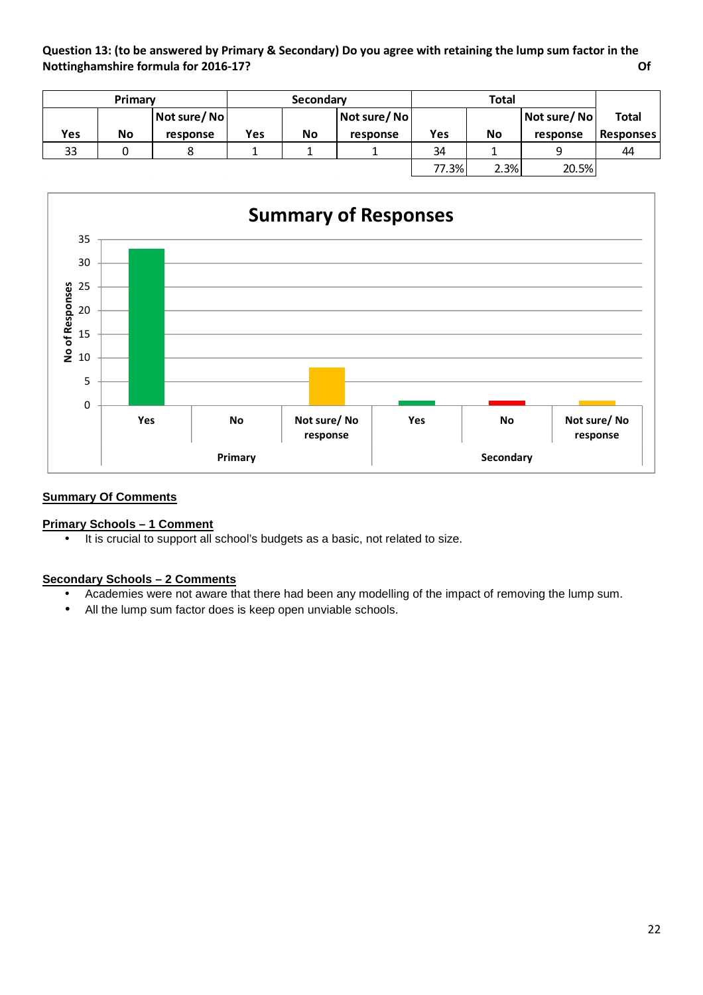**Question 13: (to be answered by Primary & Secondary) Do you agree with retaining the lump sum factor in the Nottinghamshire formula for 2016-17? Of** 

| Primary |    |             |     | Secondary |             | <b>Total</b> |           |             |                  |
|---------|----|-------------|-----|-----------|-------------|--------------|-----------|-------------|------------------|
|         |    | Not sure/No |     |           | Not sure/No |              |           | Not sure/No | <b>Total</b>     |
| Yes     | No | response    | Yes | No        | response    | Yes          | <b>No</b> | response    | <b>Responses</b> |
| 33      |    |             |     |           |             | 34           |           |             | 44               |
|         |    |             |     |           |             | 77.3%        | 2.3%      | 20.5%       |                  |



## **Summary Of Comments**

# **Primary Schools – 1 Comment**

• It is crucial to support all school's budgets as a basic, not related to size.

#### **Secondary Schools – 2 Comments**

- Academies were not aware that there had been any modelling of the impact of removing the lump sum.
- All the lump sum factor does is keep open unviable schools.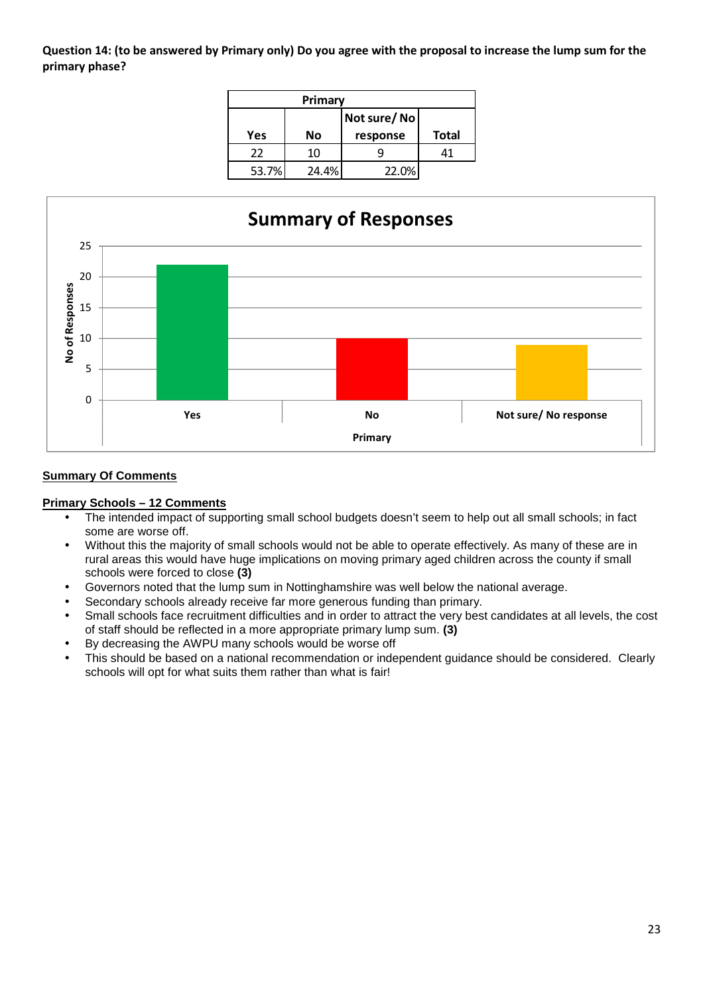**Question 14: (to be answered by Primary only) Do you agree with the proposal to increase the lump sum for the primary phase?** 

| Primary |       |          |              |  |  |  |  |  |  |  |
|---------|-------|----------|--------------|--|--|--|--|--|--|--|
|         |       |          |              |  |  |  |  |  |  |  |
| Yes     | No    | response | <b>Total</b> |  |  |  |  |  |  |  |
| 22      | 10    |          | 41           |  |  |  |  |  |  |  |
| 53.7%   | 24.4% | 22.0%    |              |  |  |  |  |  |  |  |



## **Summary Of Comments**

#### **Primary Schools – 12 Comments**

- The intended impact of supporting small school budgets doesn't seem to help out all small schools; in fact some are worse off.
- Without this the majority of small schools would not be able to operate effectively. As many of these are in rural areas this would have huge implications on moving primary aged children across the county if small schools were forced to close **(3)**
- Governors noted that the lump sum in Nottinghamshire was well below the national average.
- Secondary schools already receive far more generous funding than primary.
- Small schools face recruitment difficulties and in order to attract the very best candidates at all levels, the cost of staff should be reflected in a more appropriate primary lump sum. **(3)**
- By decreasing the AWPU many schools would be worse off
- This should be based on a national recommendation or independent guidance should be considered. Clearly schools will opt for what suits them rather than what is fair!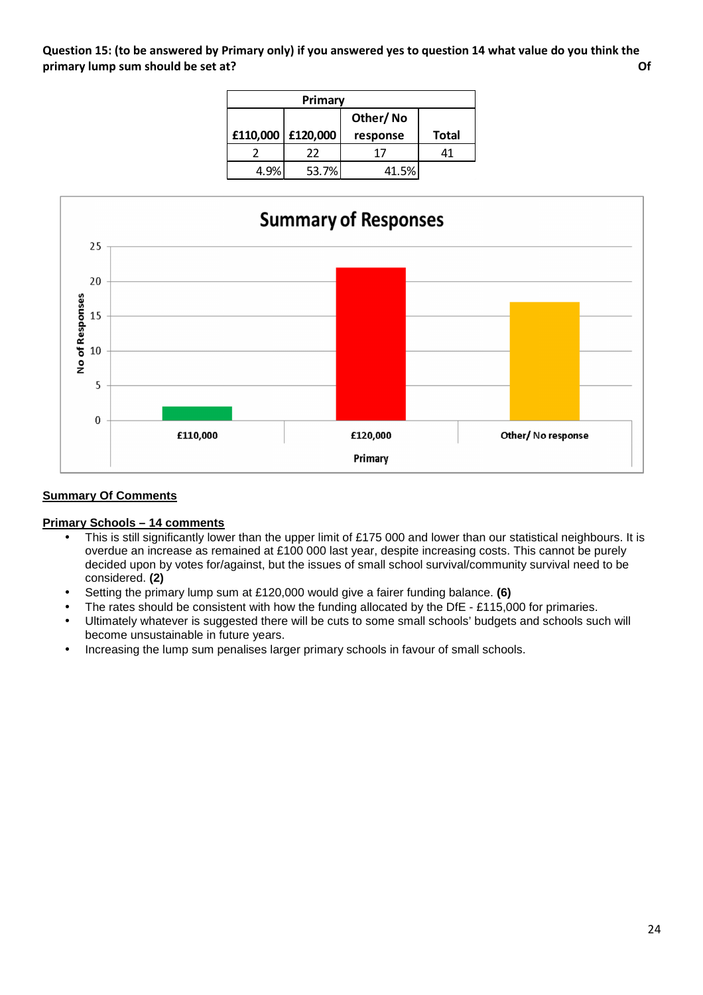**Question 15: (to be answered by Primary only) if you answered yes to question 14 what value do you think the primary lump sum should be set at? Of** 

|      | Primary           |          |              |
|------|-------------------|----------|--------------|
|      |                   |          |              |
|      | £110,000 £120,000 | response | <b>Total</b> |
|      | 22                | 17       |              |
| 4.9% | 53.7%             | 41.5%    |              |



## **Summary Of Comments**

#### **Primary Schools – 14 comments**

- This is still significantly lower than the upper limit of £175 000 and lower than our statistical neighbours. It is overdue an increase as remained at £100 000 last year, despite increasing costs. This cannot be purely decided upon by votes for/against, but the issues of small school survival/community survival need to be considered. **(2)**
- Setting the primary lump sum at £120,000 would give a fairer funding balance. **(6)**
- The rates should be consistent with how the funding allocated by the DfE £115,000 for primaries.
- Ultimately whatever is suggested there will be cuts to some small schools' budgets and schools such will become unsustainable in future years.
- Increasing the lump sum penalises larger primary schools in favour of small schools.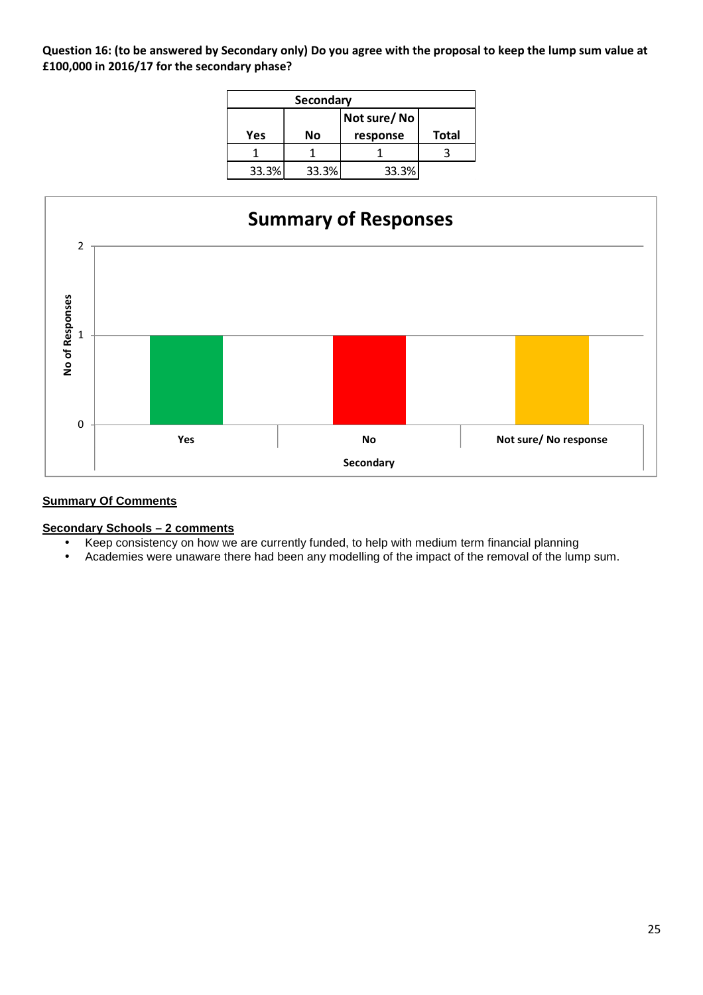**Question 16: (to be answered by Secondary only) Do you agree with the proposal to keep the lump sum value at £100,000 in 2016/17 for the secondary phase?** 

|             | Secondary |          |              |  |  |  |  |  |  |  |  |
|-------------|-----------|----------|--------------|--|--|--|--|--|--|--|--|
| Not sure/No |           |          |              |  |  |  |  |  |  |  |  |
| Yes         | No        | response | <b>Total</b> |  |  |  |  |  |  |  |  |
|             |           |          |              |  |  |  |  |  |  |  |  |
| 33.3%       | 33.3%     | 33.3%    |              |  |  |  |  |  |  |  |  |



# **Summary Of Comments**

**Secondary Schools – 2 comments** 

- Keep consistency on how we are currently funded, to help with medium term financial planning
- Academies were unaware there had been any modelling of the impact of the removal of the lump sum.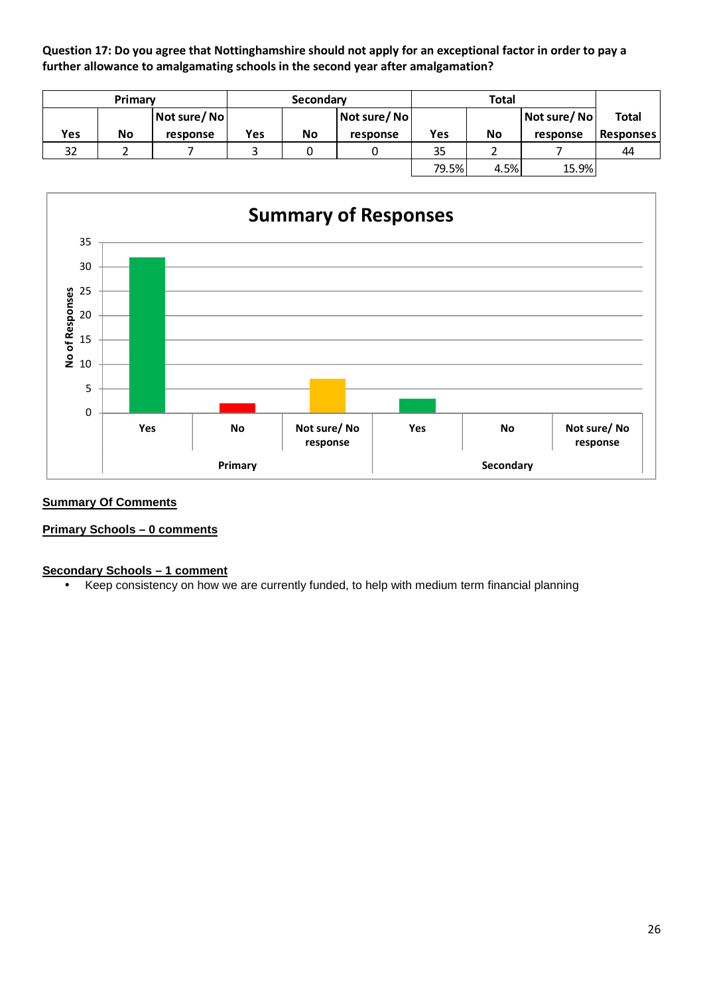**Question 17: Do you agree that Nottinghamshire should not apply for an exceptional factor in order to pay a further allowance to amalgamating schools in the second year after amalgamation?** 

|     | Primary |             |     | Secondary |             |       |      |             |                  |
|-----|---------|-------------|-----|-----------|-------------|-------|------|-------------|------------------|
|     |         | Not sure/No |     |           | Not sure/No |       |      | Not sure/No | <b>Total</b>     |
| Yes | No      | response    | Yes | No        | response    | Yes   | No   | response    | <b>Responses</b> |
| 32  |         |             |     |           |             | 35    |      |             | 44               |
|     |         |             |     |           |             | 79.5% | 4.5% | 15.9%       |                  |



#### **Summary Of Comments**

#### **Primary Schools – 0 comments**

#### **Secondary Schools – 1 comment**

• Keep consistency on how we are currently funded, to help with medium term financial planning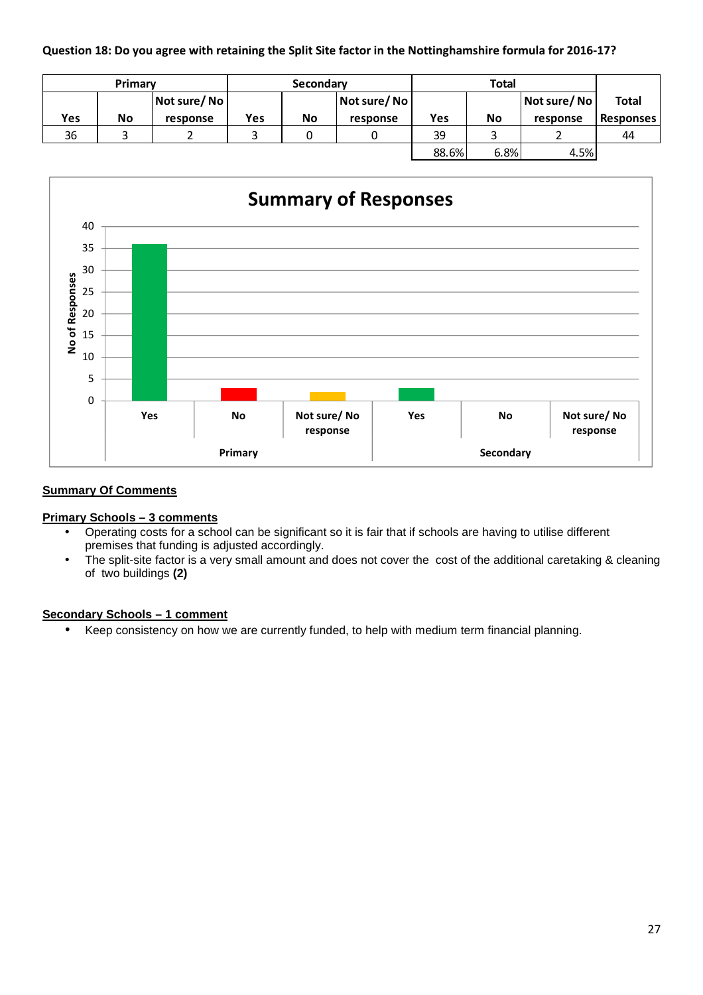## **Question 18: Do you agree with retaining the Split Site factor in the Nottinghamshire formula for 2016-17?**

|     | Primary |             |     | Secondary   |          |       |           |             |                  |
|-----|---------|-------------|-----|-------------|----------|-------|-----------|-------------|------------------|
|     |         | Not sure/No |     | Not sure/No |          |       |           | Not sure/No | <b>Total</b>     |
| Yes | No      | response    | Yes | No          | response | Yes   | <b>No</b> | response    | <b>Responses</b> |
| 36  |         |             |     |             |          | 39    |           |             | 44               |
|     |         |             |     |             |          | 88.6% | 6.8%      | 4.5%        |                  |



## **Summary Of Comments**

#### **Primary Schools – 3 comments**

- Operating costs for a school can be significant so it is fair that if schools are having to utilise different premises that funding is adjusted accordingly.
- The split-site factor is a very small amount and does not cover the cost of the additional caretaking & cleaning of two buildings **(2)**

#### **Secondary Schools – 1 comment**

• Keep consistency on how we are currently funded, to help with medium term financial planning.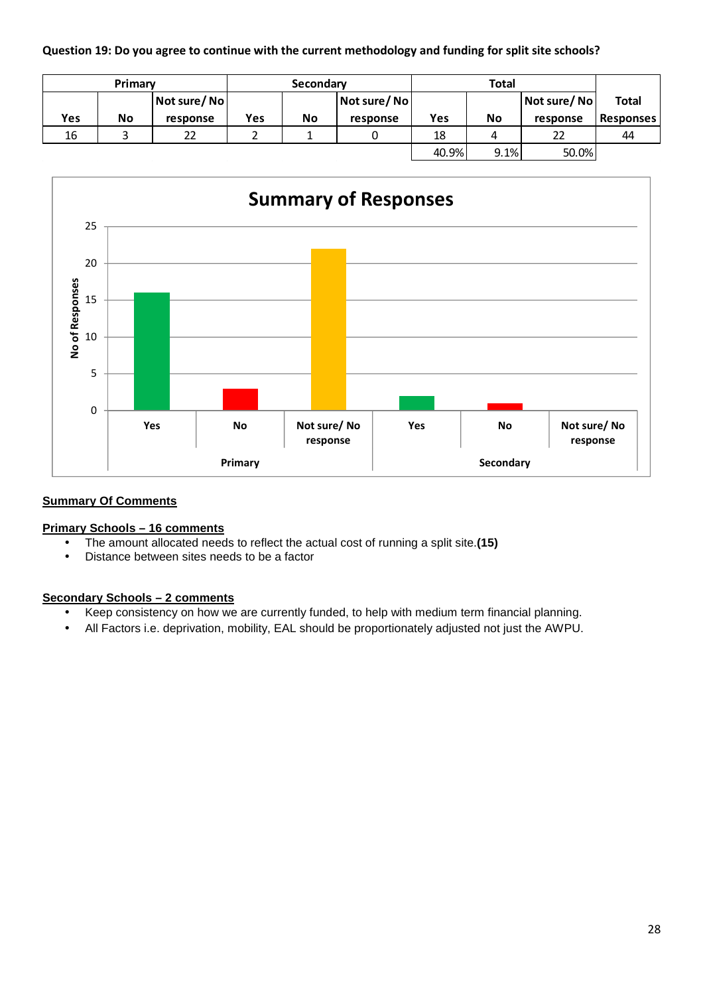## **Question 19: Do you agree to continue with the current methodology and funding for split site schools?**

|            | Primary |             |     | Secondary |             |       |           |             |                  |
|------------|---------|-------------|-----|-----------|-------------|-------|-----------|-------------|------------------|
|            |         | Not sure/No |     |           | Not sure/No |       |           | Not sure/No | <b>Total</b>     |
| <b>Yes</b> | No      | response    | Yes | No        | response    | Yes   | <b>No</b> | response    | <b>Responses</b> |
| 16         |         | 22          |     |           |             | 18    | 4         | 22          | 44               |
|            |         |             |     |           |             | 40.9% | 9.1%      | 50.0%       |                  |



## **Summary Of Comments**

## **Primary Schools – 16 comments**

- The amount allocated needs to reflect the actual cost of running a split site.**(15)**
- Distance between sites needs to be a factor

#### **Secondary Schools – 2 comments**

- Keep consistency on how we are currently funded, to help with medium term financial planning.
- All Factors i.e. deprivation, mobility, EAL should be proportionately adjusted not just the AWPU.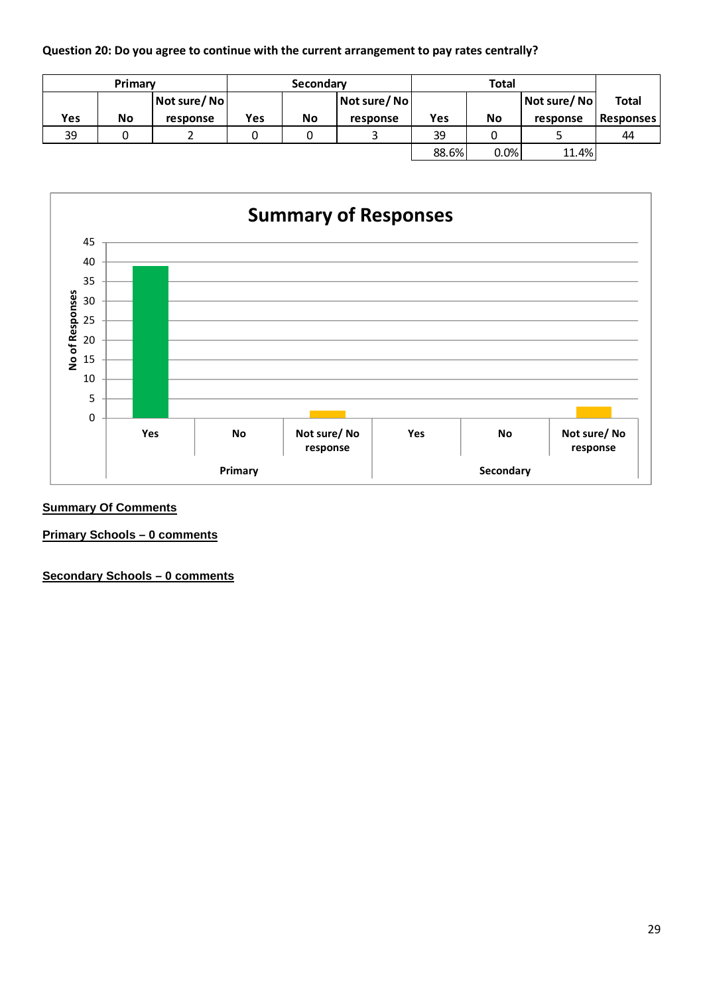## **Question 20: Do you agree to continue with the current arrangement to pay rates centrally?**

|     | Primary |             |             | Secondary |             |              |           |          |                  |
|-----|---------|-------------|-------------|-----------|-------------|--------------|-----------|----------|------------------|
|     |         | Not sure/No | Not sure/No |           | Not sure/No | <b>Total</b> |           |          |                  |
| Yes | No      | response    | Yes         | No        | response    | Yes          | <b>No</b> | response | <b>Responses</b> |
| 39  |         |             |             |           |             | 39           |           |          | 44               |
|     |         |             |             |           |             | 88.6%        | 0.0%      | 11.4%    |                  |



## **Summary Of Comments**

**Primary Schools – 0 comments** 

**Secondary Schools – 0 comments**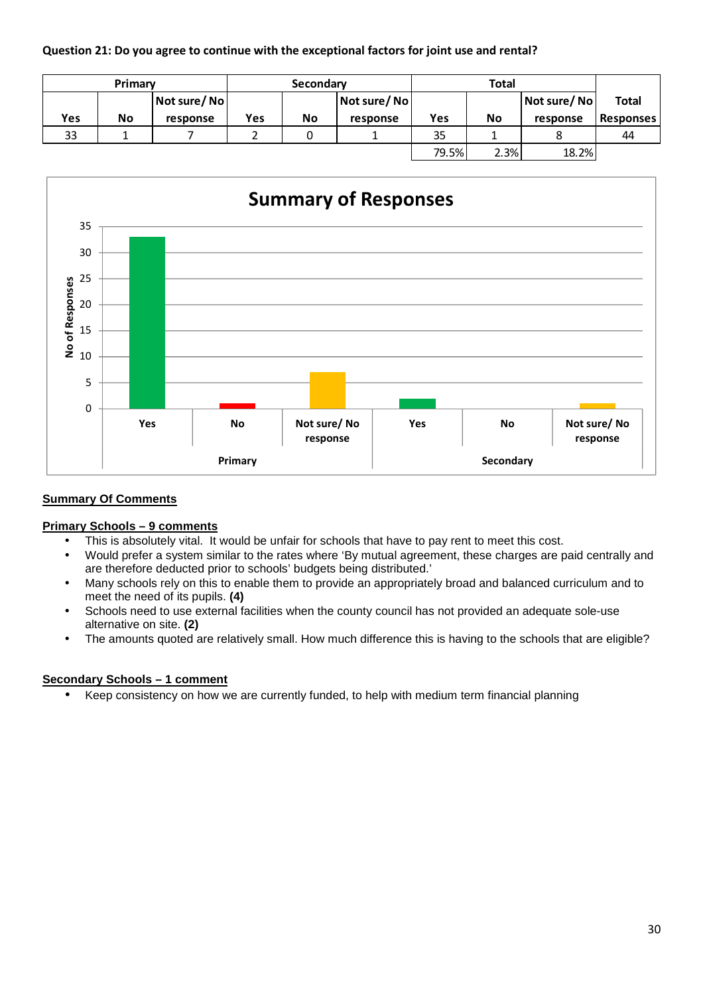## **Question 21: Do you agree to continue with the exceptional factors for joint use and rental?**

|     | Primary |             |     | Secondary |             |       |           |             |                  |
|-----|---------|-------------|-----|-----------|-------------|-------|-----------|-------------|------------------|
|     |         | Not sure/No |     |           | Not sure/No |       |           | Not sure/No | <b>Total</b>     |
| Yes | No      | response    | Yes | No        | response    | Yes   | <b>No</b> | response    | <b>Responses</b> |
| 33  |         |             |     |           |             | 35    |           |             | 44               |
|     |         |             |     |           |             | 79.5% | 2.3%      | 18.2%       |                  |



#### **Summary Of Comments**

#### **Primary Schools – 9 comments**

- This is absolutely vital. It would be unfair for schools that have to pay rent to meet this cost.
- Would prefer a system similar to the rates where 'By mutual agreement, these charges are paid centrally and are therefore deducted prior to schools' budgets being distributed.'
- Many schools rely on this to enable them to provide an appropriately broad and balanced curriculum and to meet the need of its pupils. **(4)**
- Schools need to use external facilities when the county council has not provided an adequate sole-use alternative on site. **(2)**
- The amounts quoted are relatively small. How much difference this is having to the schools that are eligible?

# **Secondary Schools – 1 comment**

• Keep consistency on how we are currently funded, to help with medium term financial planning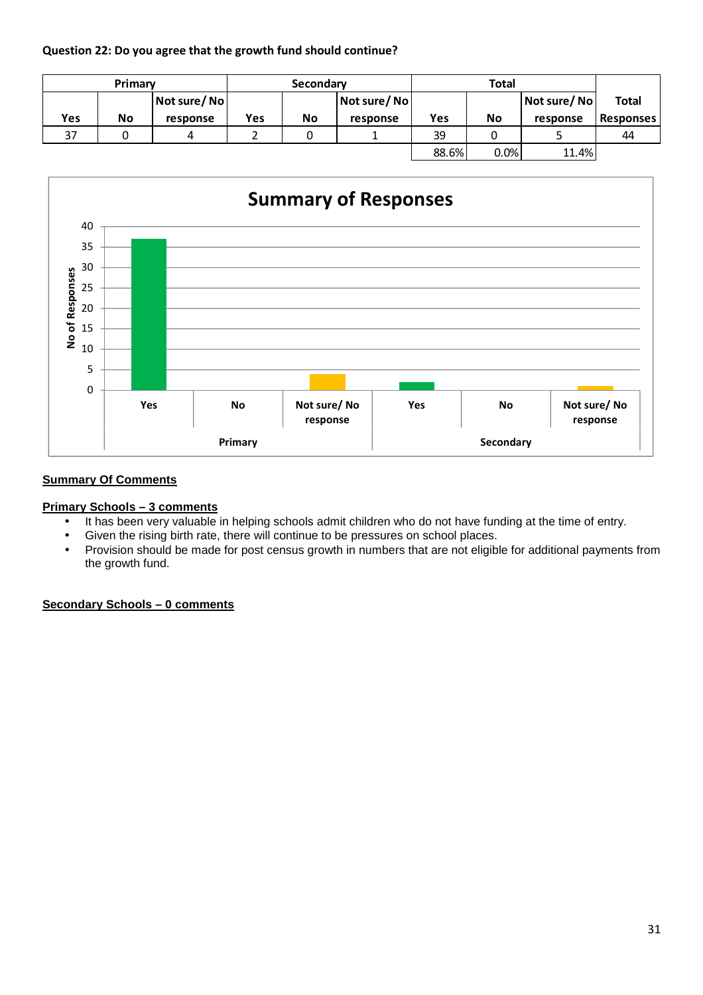## **Question 22: Do you agree that the growth fund should continue?**

|     | Primary |             |     | Secondary |          |             |           |          |                      |
|-----|---------|-------------|-----|-----------|----------|-------------|-----------|----------|----------------------|
|     |         | Not sure/No |     |           |          | Not sure/No |           |          | Not sure/No<br>Total |
| Yes | No      | response    | Yes | <b>No</b> | response | Yes         | <b>No</b> | response | <b>Responses</b>     |
| 37  |         |             |     |           |          | 39          |           |          | 44                   |
|     |         |             |     |           |          | 88.6%       | 0.0%      | 11.4%    |                      |



# **Summary Of Comments**

#### **Primary Schools – 3 comments**

- It has been very valuable in helping schools admit children who do not have funding at the time of entry.
- Given the rising birth rate, there will continue to be pressures on school places.
- Provision should be made for post census growth in numbers that are not eligible for additional payments from the growth fund.

# **Secondary Schools – 0 comments**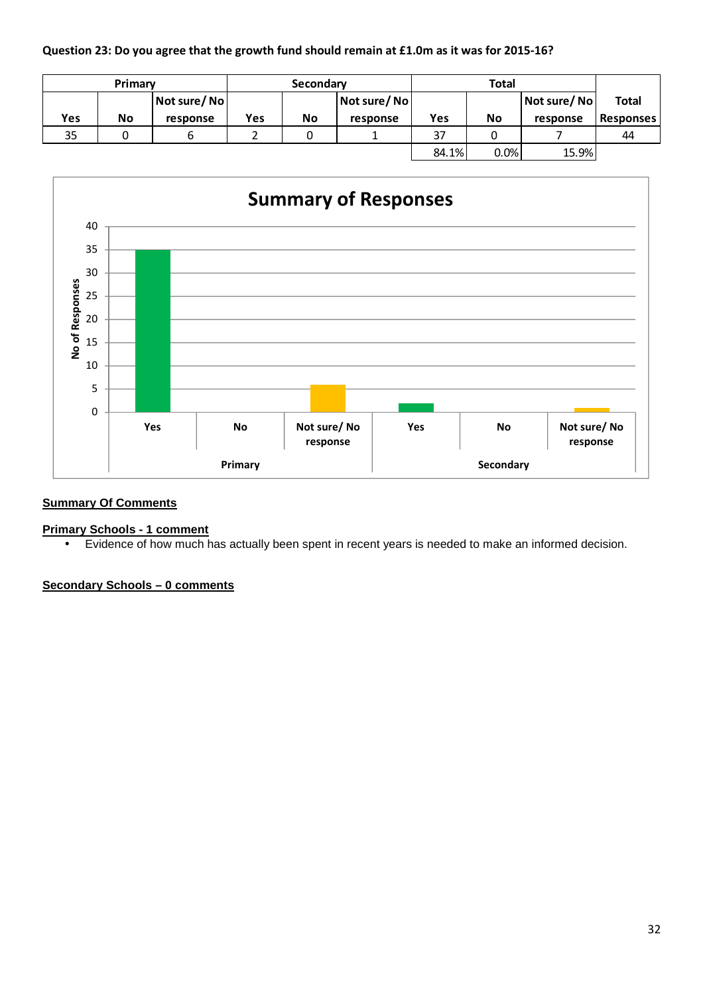## **Question 23: Do you agree that the growth fund should remain at £1.0m as it was for 2015-16?**

|     | Primary |                              |     | Secondary |             |       |           |             |                  |
|-----|---------|------------------------------|-----|-----------|-------------|-------|-----------|-------------|------------------|
|     |         | $\vert$ Not sure/ No $\vert$ |     |           | Not sure/No |       |           | Not sure/No | Total            |
| Yes | No      | response                     | Yes | No        | response    | Yes   | <b>No</b> | response    | <b>Responses</b> |
| 35  |         |                              |     |           |             | 37    |           |             | 44               |
|     |         |                              |     |           |             | 84.1% | 0.0%      | 15.9%       |                  |



## **Summary Of Comments**

#### **Primary Schools - 1 comment**

• Evidence of how much has actually been spent in recent years is needed to make an informed decision.

# **Secondary Schools – 0 comments**